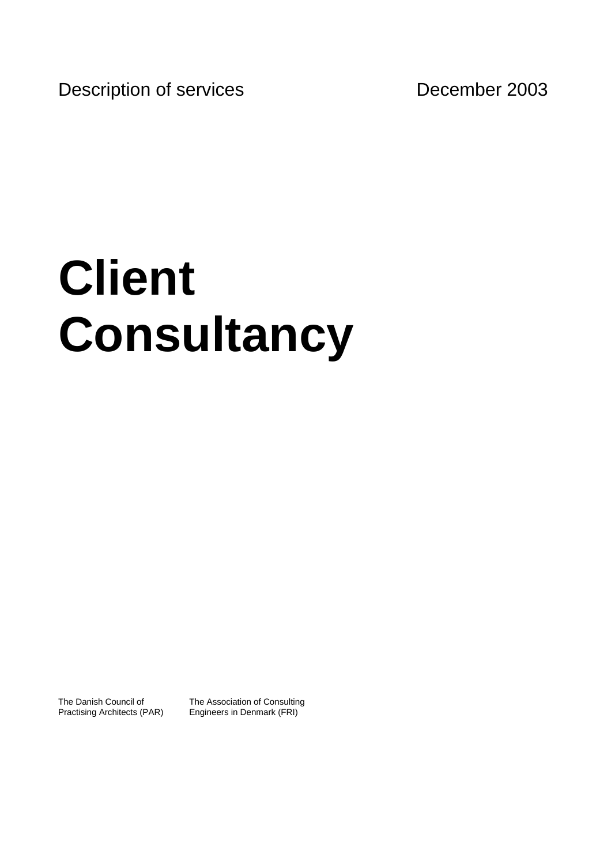Description of services December 2003

# **Client Consultancy**

The Danish Council of Practising Architects (PAR) The Association of Consulting Engineers in Denmark (FRI)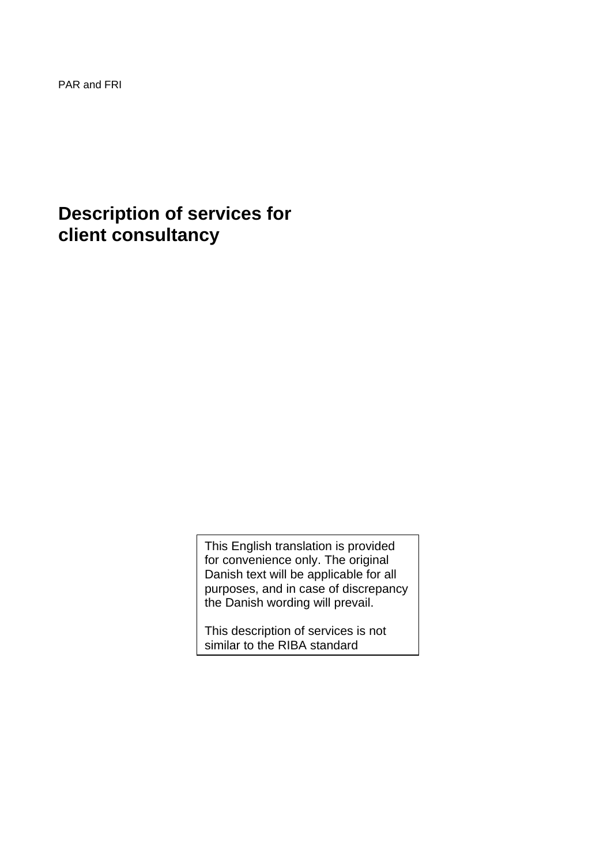PAR and FRI

# **Description of services for client consultancy**

This English translation is provided for convenience only. The original Danish text will be applicable for all purposes, and in case of discrepancy the Danish wording will prevail.

This description of services is not similar to the RIBA standard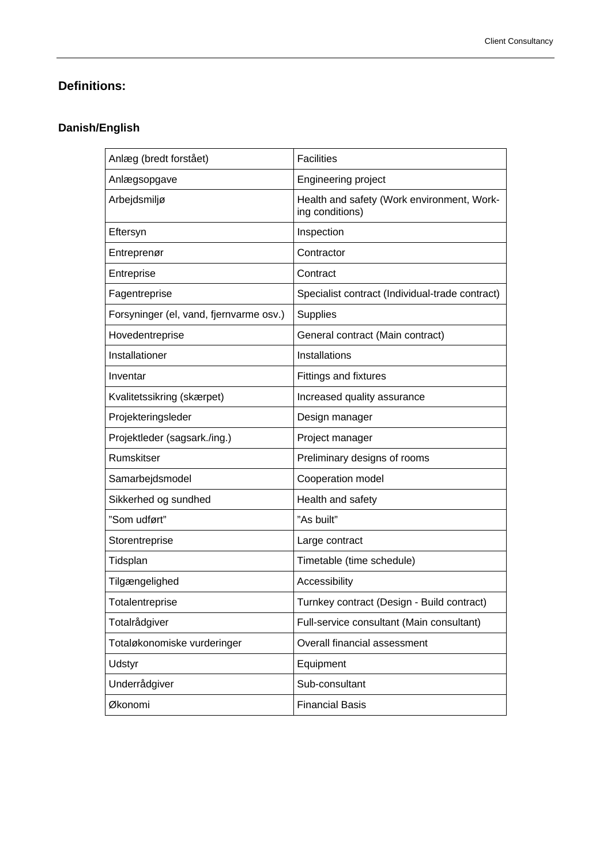# **Definitions:**

# **Danish/English**

| Anlæg (bredt forstået)                  | <b>Facilities</b>                                             |
|-----------------------------------------|---------------------------------------------------------------|
| Anlægsopgave                            | Engineering project                                           |
| Arbejdsmiljø                            | Health and safety (Work environment, Work-<br>ing conditions) |
| Eftersyn                                | Inspection                                                    |
| Entreprenør                             | Contractor                                                    |
| Entreprise                              | Contract                                                      |
| Fagentreprise                           | Specialist contract (Individual-trade contract)               |
| Forsyninger (el, vand, fjernvarme osv.) | <b>Supplies</b>                                               |
| Hovedentreprise                         | General contract (Main contract)                              |
| Installationer                          | Installations                                                 |
| Inventar                                | <b>Fittings and fixtures</b>                                  |
| Kvalitetssikring (skærpet)              | Increased quality assurance                                   |
| Projekteringsleder                      | Design manager                                                |
| Projektleder (sagsark./ing.)            | Project manager                                               |
| Rumskitser                              | Preliminary designs of rooms                                  |
| Samarbejdsmodel                         | Cooperation model                                             |
| Sikkerhed og sundhed                    | Health and safety                                             |
| "Som udført"                            | "As built"                                                    |
| Storentreprise                          | Large contract                                                |
| Tidsplan                                | Timetable (time schedule)                                     |
| Tilgængelighed                          | Accessibility                                                 |
| Totalentreprise                         | Turnkey contract (Design - Build contract)                    |
| Totalrådgiver                           | Full-service consultant (Main consultant)                     |
| Totaløkonomiske vurderinger             | Overall financial assessment                                  |
| Udstyr                                  | Equipment                                                     |
| Underrådgiver                           | Sub-consultant                                                |
| Økonomi                                 | <b>Financial Basis</b>                                        |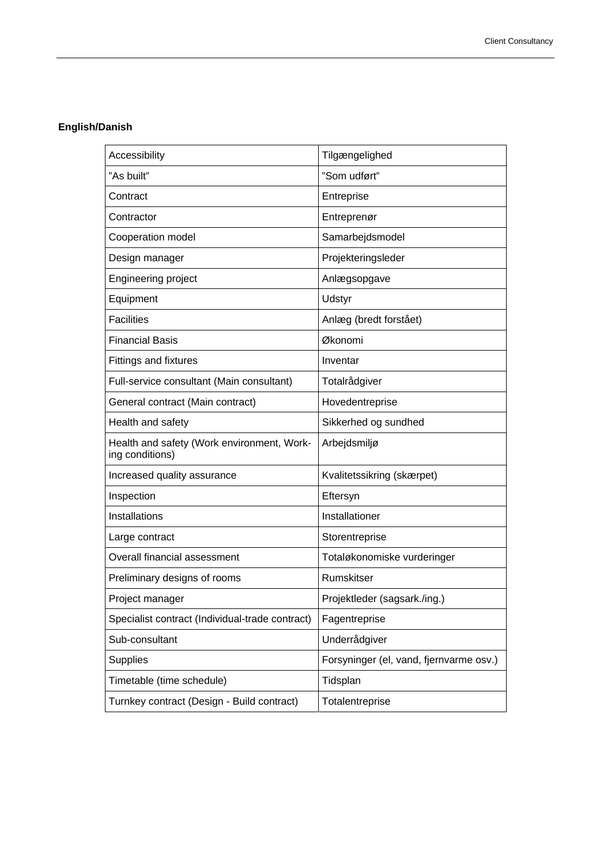# **English/Danish**

| Accessibility                                                 | Tilgængelighed                          |
|---------------------------------------------------------------|-----------------------------------------|
| "As built"                                                    | "Som udført"                            |
| Contract                                                      | Entreprise                              |
| Contractor                                                    | Entreprenør                             |
| Cooperation model                                             | Samarbejdsmodel                         |
| Design manager                                                | Projekteringsleder                      |
| Engineering project                                           | Anlægsopgave                            |
| Equipment                                                     | Udstyr                                  |
| <b>Facilities</b>                                             | Anlæg (bredt forstået)                  |
| <b>Financial Basis</b>                                        | Økonomi                                 |
| <b>Fittings and fixtures</b>                                  | Inventar                                |
| Full-service consultant (Main consultant)                     | Totalrådgiver                           |
| General contract (Main contract)                              | Hovedentreprise                         |
| Health and safety                                             | Sikkerhed og sundhed                    |
| Health and safety (Work environment, Work-<br>ing conditions) | Arbejdsmiljø                            |
| Increased quality assurance                                   | Kvalitetssikring (skærpet)              |
| Inspection                                                    | Eftersyn                                |
| Installations                                                 | Installationer                          |
| Large contract                                                | Storentreprise                          |
| Overall financial assessment                                  | Totaløkonomiske vurderinger             |
| Preliminary designs of rooms                                  | Rumskitser                              |
| Project manager                                               | Projektleder (sagsark./ing.)            |
| Specialist contract (Individual-trade contract)               | Fagentreprise                           |
| Sub-consultant                                                | Underrådgiver                           |
| Supplies                                                      | Forsyninger (el, vand, fjernvarme osv.) |
| Timetable (time schedule)                                     | Tidsplan                                |
| Turnkey contract (Design - Build contract)                    | Totalentreprise                         |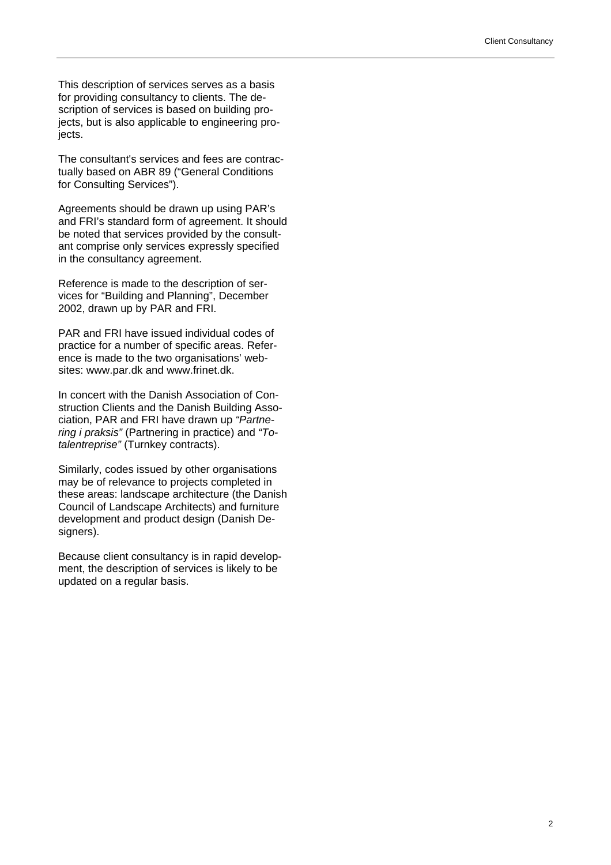This description of services serves as a basis for providing consultancy to clients. The description of services is based on building projects, but is also applicable to engineering projects.

The consultant's services and fees are contractually based on ABR 89 ("General Conditions for Consulting Services").

Agreements should be drawn up using PAR's and FRI's standard form of agreement. It should be noted that services provided by the consultant comprise only services expressly specified in the consultancy agreement.

Reference is made to the description of services for "Building and Planning", December 2002, drawn up by PAR and FRI.

PAR and FRI have issued individual codes of practice for a number of specific areas. Reference is made to the two organisations' websites: www.par.dk and www.frinet.dk.

In concert with the Danish Association of Construction Clients and the Danish Building Association, PAR and FRI have drawn up *"Partnering i praksis"* (Partnering in practice) and *"Totalentreprise"* (Turnkey contracts).

Similarly, codes issued by other organisations may be of relevance to projects completed in these areas: landscape architecture (the Danish Council of Landscape Architects) and furniture development and product design (Danish Designers).

Because client consultancy is in rapid development, the description of services is likely to be updated on a regular basis.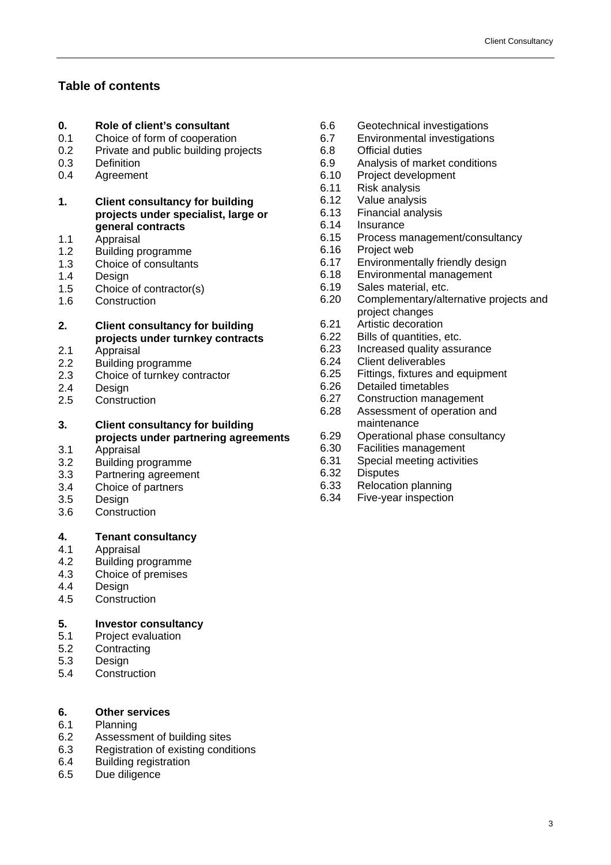# **Table of contents**

# **0. Role of client's consultant**

- 0.1 Choice of form of cooperation
- 0.2 Private and public building projects<br>0.3 Definition
- Definition
- 0.4 Agreement
- **1. Client consultancy for building projects under specialist, large or general contracts**
- 1.1 Appraisal
- 1.2 Building programme
- 1.3 Choice of consultants
- 1.4 Design
- 1.5 Choice of contractor(s)
- 1.6 Construction
- **2. Client consultancy for building projects under turnkey contracts**
- 2.1 Appraisal
- 2.2 Building programme
- 2.3 Choice of turnkey contractor
- 2.4 Design
- 2.5 Construction
- **3. Client consultancy for building projects under partnering agreements**
- 3.1 Appraisal
- 3.2 Building programme
- 3.3 Partnering agreement
- 3.4 Choice of partners
- 3.5 Design
- 3.6 Construction

#### **4. Tenant consultancy**

- 4.1 Appraisal
- 4.2 Building programme
- 4.3 Choice of premises
- 4.4 Design
- 4.5 Construction

# **5. Investor consultancy**

- 5.1 Project evaluation
- 5.2 Contracting
- 5.3 Design
- 5.4 Construction

# **6. Other services**

- 6.1 Planning
- 6.2 Assessment of building sites
- 6.3 Registration of existing conditions
- 6.4 Building registration
- 6.5 Due diligence
- 6.6 Geotechnical investigations
- 6.7 Environmental investigations
	- 6.8 Official duties<br>6.9 Analysis of ma
	- Analysis of market conditions
	- 6.10 Project development
	- 6.11 Risk analysis
	- 6.12 Value analysis
	- 6.13 Financial analysis
	- 6.14 Insurance
	- 6.15 Process management/consultancy
	- 6.16 Project web
	- 6.17 Environmentally friendly design
	- 6.18 Environmental management<br>6.19 Sales material. etc.
	- Sales material, etc.
	- 6.20 Complementary/alternative projects and project changes
	- 6.21 Artistic decoration
- 6.22 Bills of quantities, etc.
- 6.23 Increased quality assurance
- 6.24 Client deliverables
- 6.25 Fittings, fixtures and equipment
- 6.26 Detailed timetables
- 6.27 Construction management
- 6.28 Assessment of operation and maintenance
- 6.29 Operational phase consultancy
- 6.30 Facilities management<br>6.31 Special meeting activities
- Special meeting activities
- 6.32 Disputes
- 6.33 Relocation planning
- 6.34 Five-year inspection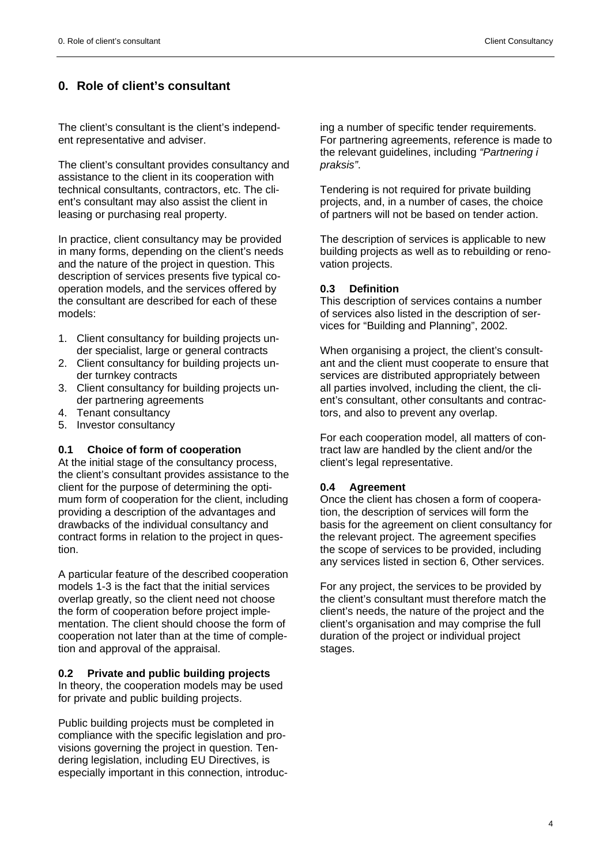# **0. Role of client's consultant**

The client's consultant is the client's independent representative and adviser.

The client's consultant provides consultancy and assistance to the client in its cooperation with technical consultants, contractors, etc. The client's consultant may also assist the client in leasing or purchasing real property.

In practice, client consultancy may be provided in many forms, depending on the client's needs and the nature of the project in question. This description of services presents five typical cooperation models, and the services offered by the consultant are described for each of these models:

- 1. Client consultancy for building projects under specialist, large or general contracts
- 2. Client consultancy for building projects under turnkey contracts
- 3. Client consultancy for building projects under partnering agreements
- 4. Tenant consultancy
- 5. Investor consultancy

#### **0.1 Choice of form of cooperation**

At the initial stage of the consultancy process, the client's consultant provides assistance to the client for the purpose of determining the optimum form of cooperation for the client, including providing a description of the advantages and drawbacks of the individual consultancy and contract forms in relation to the project in question.

A particular feature of the described cooperation models 1-3 is the fact that the initial services overlap greatly, so the client need not choose the form of cooperation before project implementation. The client should choose the form of cooperation not later than at the time of completion and approval of the appraisal.

#### **0.2 Private and public building projects**

In theory, the cooperation models may be used for private and public building projects.

Public building projects must be completed in compliance with the specific legislation and provisions governing the project in question. Tendering legislation, including EU Directives, is especially important in this connection, introducing a number of specific tender requirements. For partnering agreements, reference is made to the relevant guidelines, including *"Partnering i praksis"*.

Tendering is not required for private building projects, and, in a number of cases, the choice of partners will not be based on tender action.

The description of services is applicable to new building projects as well as to rebuilding or renovation projects.

#### **0.3 Definition**

This description of services contains a number of services also listed in the description of services for "Building and Planning", 2002.

When organising a project, the client's consultant and the client must cooperate to ensure that services are distributed appropriately between all parties involved, including the client, the client's consultant, other consultants and contractors, and also to prevent any overlap.

For each cooperation model, all matters of contract law are handled by the client and/or the client's legal representative.

#### **0.4 Agreement**

Once the client has chosen a form of cooperation, the description of services will form the basis for the agreement on client consultancy for the relevant project. The agreement specifies the scope of services to be provided, including any services listed in section 6, Other services.

For any project, the services to be provided by the client's consultant must therefore match the client's needs, the nature of the project and the client's organisation and may comprise the full duration of the project or individual project stages.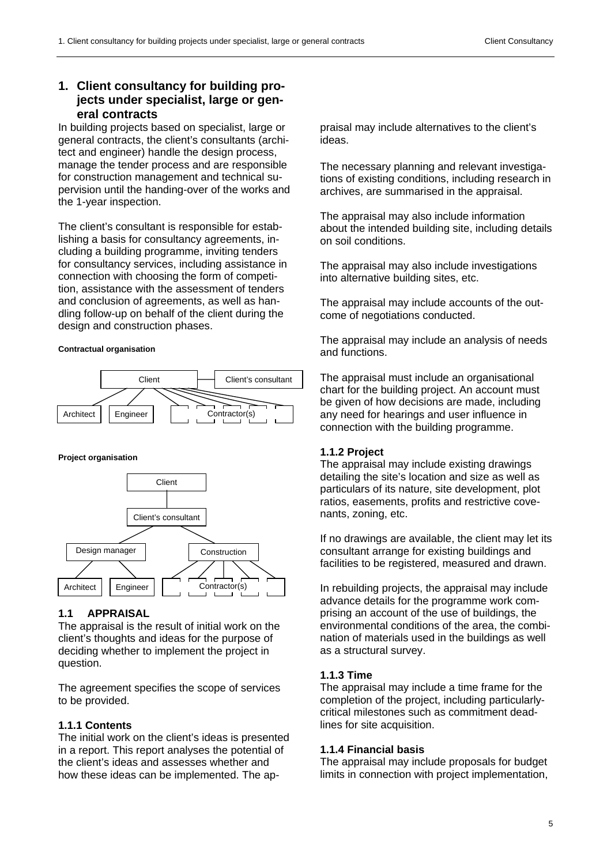# **1. Client consultancy for building projects under specialist, large or general contracts**

In building projects based on specialist, large or general contracts, the client's consultants (architect and engineer) handle the design process, manage the tender process and are responsible for construction management and technical supervision until the handing-over of the works and the 1-year inspection.

The client's consultant is responsible for establishing a basis for consultancy agreements, including a building programme, inviting tenders for consultancy services, including assistance in connection with choosing the form of competition, assistance with the assessment of tenders and conclusion of agreements, as well as handling follow-up on behalf of the client during the design and construction phases.

#### **Contractual organisation**



#### **Project organisation**



# **1.1 APPRAISAL**

The appraisal is the result of initial work on the client's thoughts and ideas for the purpose of deciding whether to implement the project in question.

The agreement specifies the scope of services to be provided.

# **1.1.1 Contents**

The initial work on the client's ideas is presented in a report. This report analyses the potential of the client's ideas and assesses whether and how these ideas can be implemented. The appraisal may include alternatives to the client's ideas.

The necessary planning and relevant investigations of existing conditions, including research in archives, are summarised in the appraisal.

The appraisal may also include information about the intended building site, including details on soil conditions.

The appraisal may also include investigations into alternative building sites, etc.

The appraisal may include accounts of the outcome of negotiations conducted.

The appraisal may include an analysis of needs and functions.

The appraisal must include an organisational chart for the building project. An account must be given of how decisions are made, including any need for hearings and user influence in connection with the building programme.

# **1.1.2 Project**

The appraisal may include existing drawings detailing the site's location and size as well as particulars of its nature, site development, plot ratios, easements, profits and restrictive covenants, zoning, etc.

If no drawings are available, the client may let its consultant arrange for existing buildings and facilities to be registered, measured and drawn.

In rebuilding projects, the appraisal may include advance details for the programme work comprising an account of the use of buildings, the environmental conditions of the area, the combination of materials used in the buildings as well as a structural survey.

# **1.1.3 Time**

The appraisal may include a time frame for the completion of the project, including particularlycritical milestones such as commitment deadlines for site acquisition.

#### **1.1.4 Financial basis**

The appraisal may include proposals for budget limits in connection with project implementation,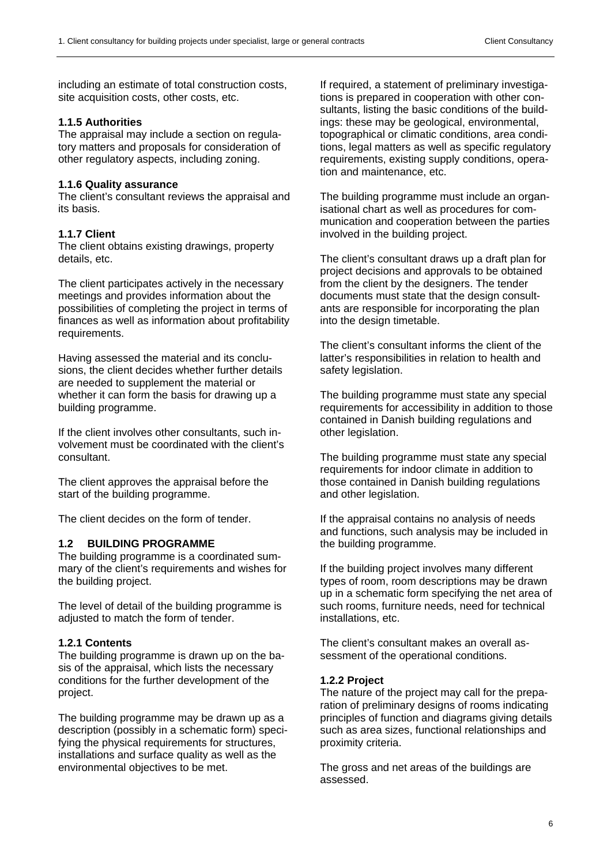including an estimate of total construction costs, site acquisition costs, other costs, etc.

#### **1.1.5 Authorities**

The appraisal may include a section on regulatory matters and proposals for consideration of other regulatory aspects, including zoning.

#### **1.1.6 Quality assurance**

The client's consultant reviews the appraisal and its basis.

#### **1.1.7 Client**

The client obtains existing drawings, property details, etc.

The client participates actively in the necessary meetings and provides information about the possibilities of completing the project in terms of finances as well as information about profitability requirements.

Having assessed the material and its conclusions, the client decides whether further details are needed to supplement the material or whether it can form the basis for drawing up a building programme.

If the client involves other consultants, such involvement must be coordinated with the client's consultant.

The client approves the appraisal before the start of the building programme.

The client decides on the form of tender.

#### **1.2 BUILDING PROGRAMME**

The building programme is a coordinated summary of the client's requirements and wishes for the building project.

The level of detail of the building programme is adjusted to match the form of tender.

#### **1.2.1 Contents**

The building programme is drawn up on the basis of the appraisal, which lists the necessary conditions for the further development of the project.

The building programme may be drawn up as a description (possibly in a schematic form) specifying the physical requirements for structures, installations and surface quality as well as the environmental objectives to be met.

If required, a statement of preliminary investigations is prepared in cooperation with other consultants, listing the basic conditions of the buildings: these may be geological, environmental, topographical or climatic conditions, area conditions, legal matters as well as specific regulatory requirements, existing supply conditions, operation and maintenance, etc.

The building programme must include an organisational chart as well as procedures for communication and cooperation between the parties involved in the building project.

The client's consultant draws up a draft plan for project decisions and approvals to be obtained from the client by the designers. The tender documents must state that the design consultants are responsible for incorporating the plan into the design timetable.

The client's consultant informs the client of the latter's responsibilities in relation to health and safety legislation.

The building programme must state any special requirements for accessibility in addition to those contained in Danish building regulations and other legislation.

The building programme must state any special requirements for indoor climate in addition to those contained in Danish building regulations and other legislation.

If the appraisal contains no analysis of needs and functions, such analysis may be included in the building programme.

If the building project involves many different types of room, room descriptions may be drawn up in a schematic form specifying the net area of such rooms, furniture needs, need for technical installations, etc.

The client's consultant makes an overall assessment of the operational conditions.

#### **1.2.2 Project**

The nature of the project may call for the preparation of preliminary designs of rooms indicating principles of function and diagrams giving details such as area sizes, functional relationships and proximity criteria.

The gross and net areas of the buildings are assessed.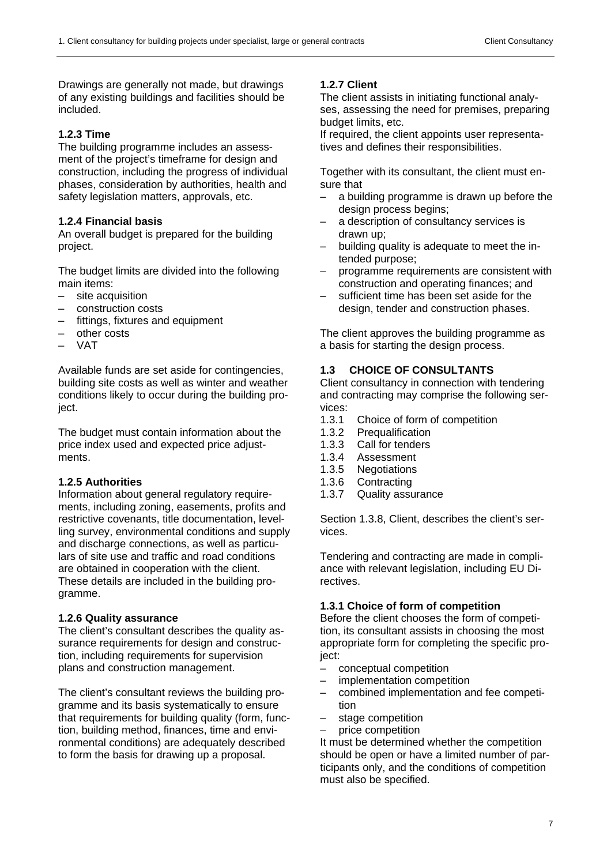Drawings are generally not made, but drawings of any existing buildings and facilities should be included.

# **1.2.3 Time**

The building programme includes an assessment of the project's timeframe for design and construction, including the progress of individual phases, consideration by authorities, health and safety legislation matters, approvals, etc.

# **1.2.4 Financial basis**

An overall budget is prepared for the building project.

The budget limits are divided into the following main items:

- site acquisition
- construction costs
- fittings, fixtures and equipment
- other costs
- VAT

Available funds are set aside for contingencies, building site costs as well as winter and weather conditions likely to occur during the building project.

The budget must contain information about the price index used and expected price adjustments.

# **1.2.5 Authorities**

Information about general regulatory requirements, including zoning, easements, profits and restrictive covenants, title documentation, levelling survey, environmental conditions and supply and discharge connections, as well as particulars of site use and traffic and road conditions are obtained in cooperation with the client. These details are included in the building programme.

# **1.2.6 Quality assurance**

The client's consultant describes the quality assurance requirements for design and construction, including requirements for supervision plans and construction management.

The client's consultant reviews the building programme and its basis systematically to ensure that requirements for building quality (form, function, building method, finances, time and environmental conditions) are adequately described to form the basis for drawing up a proposal.

# **1.2.7 Client**

The client assists in initiating functional analyses, assessing the need for premises, preparing budget limits, etc.

If required, the client appoints user representatives and defines their responsibilities.

Together with its consultant, the client must ensure that

- a building programme is drawn up before the design process begins:
- a description of consultancy services is drawn up;
- building quality is adequate to meet the intended purpose;
- programme requirements are consistent with construction and operating finances; and
- sufficient time has been set aside for the design, tender and construction phases.

The client approves the building programme as a basis for starting the design process.

# **1.3 CHOICE OF CONSULTANTS**

Client consultancy in connection with tendering and contracting may comprise the following services:

- 1.3.1 Choice of form of competition
- 1.3.2 Prequalification
- 1.3.3 Call for tenders
- 1.3.4 Assessment
- 1.3.5 Negotiations
- 1.3.6 Contracting
- 1.3.7 Quality assurance

Section 1.3.8, Client, describes the client's services.

Tendering and contracting are made in compliance with relevant legislation, including EU Directives.

# **1.3.1 Choice of form of competition**

Before the client chooses the form of competition, its consultant assists in choosing the most appropriate form for completing the specific project:

- conceptual competition
- implementation competition
- combined implementation and fee competition
- stage competition
- price competition

It must be determined whether the competition should be open or have a limited number of participants only, and the conditions of competition must also be specified.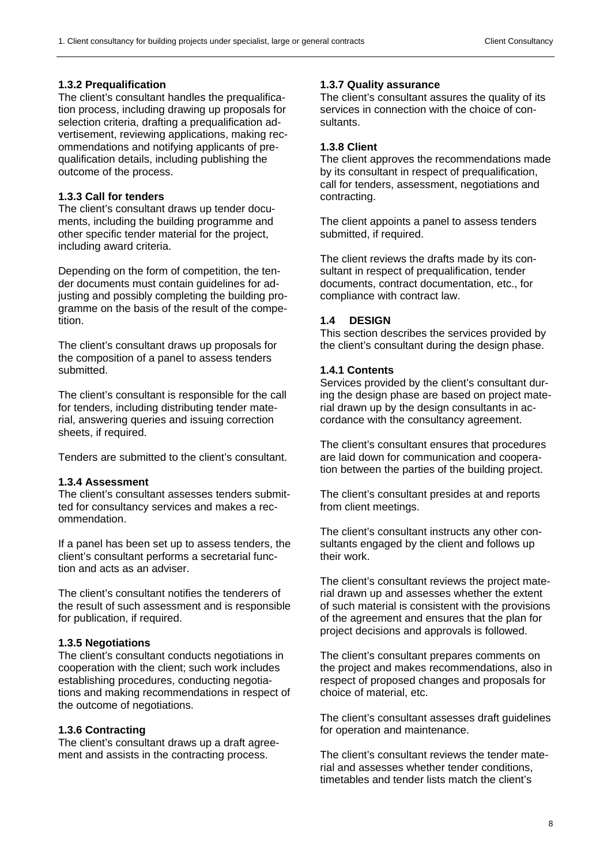# **1.3.2 Prequalification**

The client's consultant handles the prequalification process, including drawing up proposals for selection criteria, drafting a prequalification advertisement, reviewing applications, making recommendations and notifying applicants of prequalification details, including publishing the outcome of the process.

# **1.3.3 Call for tenders**

The client's consultant draws up tender documents, including the building programme and other specific tender material for the project, including award criteria.

Depending on the form of competition, the tender documents must contain guidelines for adjusting and possibly completing the building programme on the basis of the result of the competition.

The client's consultant draws up proposals for the composition of a panel to assess tenders submitted.

The client's consultant is responsible for the call for tenders, including distributing tender material, answering queries and issuing correction sheets, if required.

Tenders are submitted to the client's consultant.

# **1.3.4 Assessment**

The client's consultant assesses tenders submitted for consultancy services and makes a recommendation.

If a panel has been set up to assess tenders, the client's consultant performs a secretarial function and acts as an adviser.

The client's consultant notifies the tenderers of the result of such assessment and is responsible for publication, if required.

# **1.3.5 Negotiations**

The client's consultant conducts negotiations in cooperation with the client; such work includes establishing procedures, conducting negotiations and making recommendations in respect of the outcome of negotiations.

# **1.3.6 Contracting**

The client's consultant draws up a draft agreement and assists in the contracting process.

# **1.3.7 Quality assurance**

The client's consultant assures the quality of its services in connection with the choice of consultants.

# **1.3.8 Client**

The client approves the recommendations made by its consultant in respect of prequalification, call for tenders, assessment, negotiations and contracting.

The client appoints a panel to assess tenders submitted, if required.

The client reviews the drafts made by its consultant in respect of prequalification, tender documents, contract documentation, etc., for compliance with contract law.

# **1.4 DESIGN**

This section describes the services provided by the client's consultant during the design phase.

# **1.4.1 Contents**

Services provided by the client's consultant during the design phase are based on project material drawn up by the design consultants in accordance with the consultancy agreement.

The client's consultant ensures that procedures are laid down for communication and cooperation between the parties of the building project.

The client's consultant presides at and reports from client meetings.

The client's consultant instructs any other consultants engaged by the client and follows up their work.

The client's consultant reviews the project material drawn up and assesses whether the extent of such material is consistent with the provisions of the agreement and ensures that the plan for project decisions and approvals is followed.

The client's consultant prepares comments on the project and makes recommendations, also in respect of proposed changes and proposals for choice of material, etc.

The client's consultant assesses draft guidelines for operation and maintenance.

The client's consultant reviews the tender material and assesses whether tender conditions, timetables and tender lists match the client's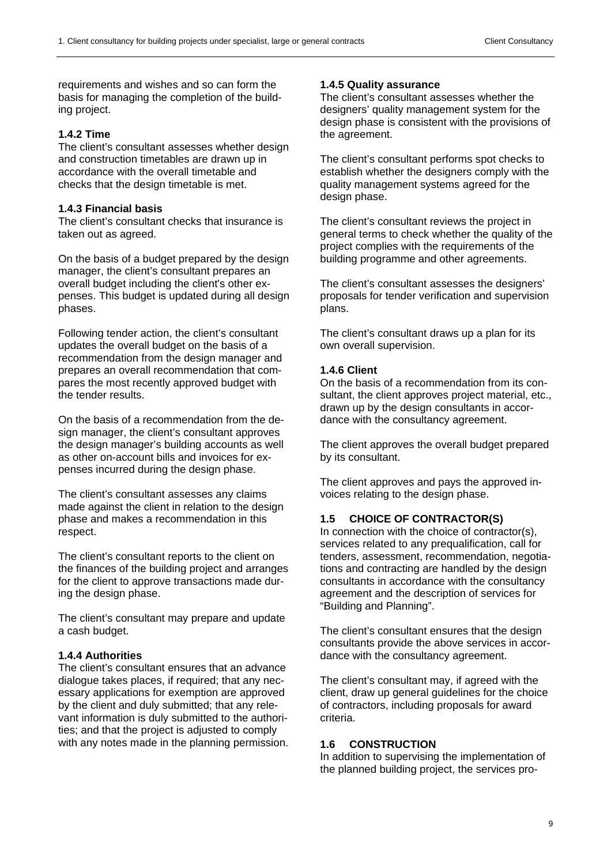requirements and wishes and so can form the basis for managing the completion of the building project.

#### **1.4.2 Time**

The client's consultant assesses whether design and construction timetables are drawn up in accordance with the overall timetable and checks that the design timetable is met.

# **1.4.3 Financial basis**

The client's consultant checks that insurance is taken out as agreed.

On the basis of a budget prepared by the design manager, the client's consultant prepares an overall budget including the client's other expenses. This budget is updated during all design phases.

Following tender action, the client's consultant updates the overall budget on the basis of a recommendation from the design manager and prepares an overall recommendation that compares the most recently approved budget with the tender results.

On the basis of a recommendation from the design manager, the client's consultant approves the design manager's building accounts as well as other on-account bills and invoices for expenses incurred during the design phase.

The client's consultant assesses any claims made against the client in relation to the design phase and makes a recommendation in this respect.

The client's consultant reports to the client on the finances of the building project and arranges for the client to approve transactions made during the design phase.

The client's consultant may prepare and update a cash budget.

# **1.4.4 Authorities**

The client's consultant ensures that an advance dialogue takes places, if required; that any necessary applications for exemption are approved by the client and duly submitted; that any relevant information is duly submitted to the authorities; and that the project is adjusted to comply with any notes made in the planning permission.

#### **1.4.5 Quality assurance**

The client's consultant assesses whether the designers' quality management system for the design phase is consistent with the provisions of the agreement.

The client's consultant performs spot checks to establish whether the designers comply with the quality management systems agreed for the design phase.

The client's consultant reviews the project in general terms to check whether the quality of the project complies with the requirements of the building programme and other agreements.

The client's consultant assesses the designers' proposals for tender verification and supervision plans.

The client's consultant draws up a plan for its own overall supervision.

#### **1.4.6 Client**

On the basis of a recommendation from its consultant, the client approves project material, etc., drawn up by the design consultants in accordance with the consultancy agreement.

The client approves the overall budget prepared by its consultant.

The client approves and pays the approved invoices relating to the design phase.

#### **1.5 CHOICE OF CONTRACTOR(S)**

In connection with the choice of contractor(s), services related to any prequalification, call for tenders, assessment, recommendation, negotiations and contracting are handled by the design consultants in accordance with the consultancy agreement and the description of services for "Building and Planning".

The client's consultant ensures that the design consultants provide the above services in accordance with the consultancy agreement.

The client's consultant may, if agreed with the client, draw up general guidelines for the choice of contractors, including proposals for award criteria.

#### **1.6 CONSTRUCTION**

In addition to supervising the implementation of the planned building project, the services pro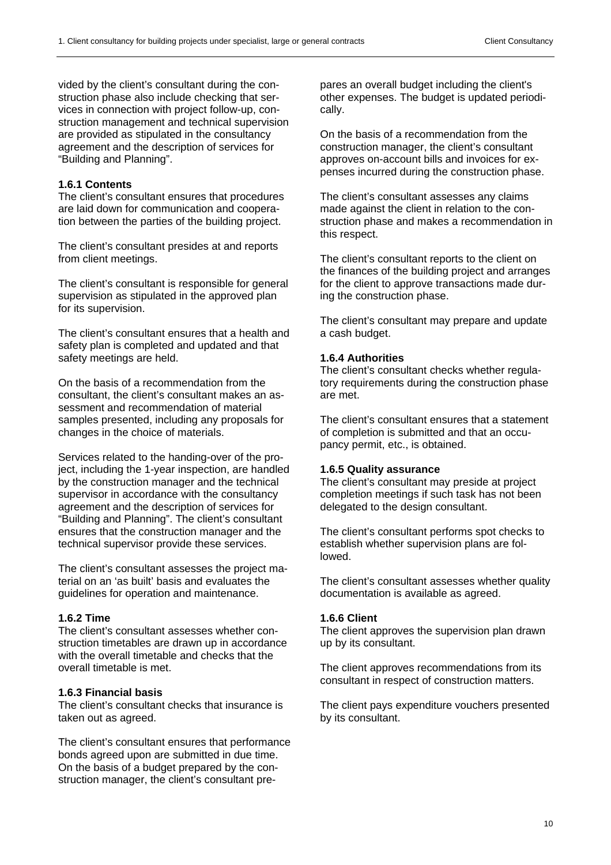vided by the client's consultant during the construction phase also include checking that services in connection with project follow-up, construction management and technical supervision are provided as stipulated in the consultancy agreement and the description of services for "Building and Planning".

# **1.6.1 Contents**

The client's consultant ensures that procedures are laid down for communication and cooperation between the parties of the building project.

The client's consultant presides at and reports from client meetings.

The client's consultant is responsible for general supervision as stipulated in the approved plan for its supervision.

The client's consultant ensures that a health and safety plan is completed and updated and that safety meetings are held.

On the basis of a recommendation from the consultant, the client's consultant makes an assessment and recommendation of material samples presented, including any proposals for changes in the choice of materials.

Services related to the handing-over of the project, including the 1-year inspection, are handled by the construction manager and the technical supervisor in accordance with the consultancy agreement and the description of services for "Building and Planning". The client's consultant ensures that the construction manager and the technical supervisor provide these services.

The client's consultant assesses the project material on an 'as built' basis and evaluates the guidelines for operation and maintenance.

# **1.6.2 Time**

The client's consultant assesses whether construction timetables are drawn up in accordance with the overall timetable and checks that the overall timetable is met.

# **1.6.3 Financial basis**

The client's consultant checks that insurance is taken out as agreed.

The client's consultant ensures that performance bonds agreed upon are submitted in due time. On the basis of a budget prepared by the construction manager, the client's consultant prepares an overall budget including the client's other expenses. The budget is updated periodically.

On the basis of a recommendation from the construction manager, the client's consultant approves on-account bills and invoices for expenses incurred during the construction phase.

The client's consultant assesses any claims made against the client in relation to the construction phase and makes a recommendation in this respect.

The client's consultant reports to the client on the finances of the building project and arranges for the client to approve transactions made during the construction phase.

The client's consultant may prepare and update a cash budget.

# **1.6.4 Authorities**

The client's consultant checks whether regulatory requirements during the construction phase are met.

The client's consultant ensures that a statement of completion is submitted and that an occupancy permit, etc., is obtained.

# **1.6.5 Quality assurance**

The client's consultant may preside at project completion meetings if such task has not been delegated to the design consultant.

The client's consultant performs spot checks to establish whether supervision plans are followed.

The client's consultant assesses whether quality documentation is available as agreed.

# **1.6.6 Client**

The client approves the supervision plan drawn up by its consultant.

The client approves recommendations from its consultant in respect of construction matters.

The client pays expenditure vouchers presented by its consultant.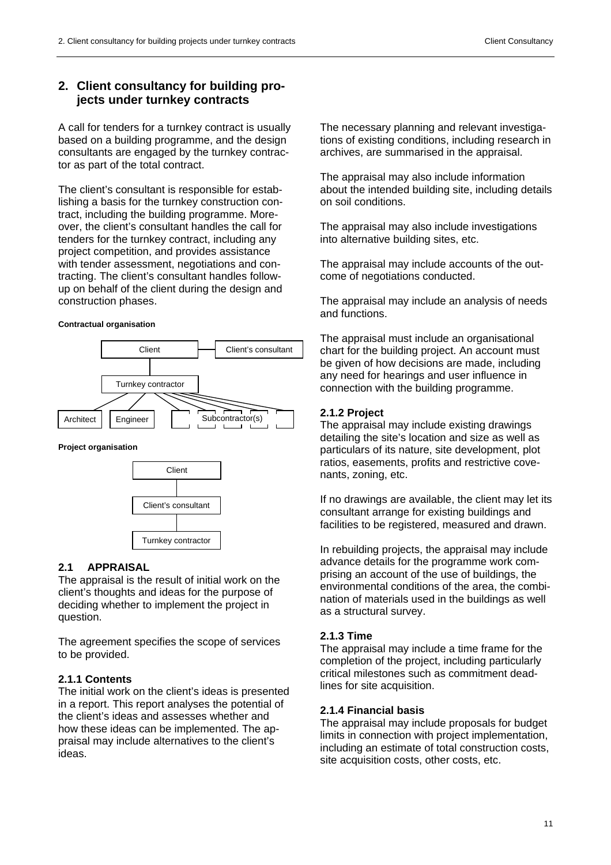# **2. Client consultancy for building projects under turnkey contracts**

A call for tenders for a turnkey contract is usually based on a building programme, and the design consultants are engaged by the turnkey contractor as part of the total contract.

The client's consultant is responsible for establishing a basis for the turnkey construction contract, including the building programme. Moreover, the client's consultant handles the call for tenders for the turnkey contract, including any project competition, and provides assistance with tender assessment, negotiations and contracting. The client's consultant handles followup on behalf of the client during the design and construction phases.

#### **Contractual organisation**



**Project organisation** 



# **2.1 APPRAISAL**

The appraisal is the result of initial work on the client's thoughts and ideas for the purpose of deciding whether to implement the project in question.

The agreement specifies the scope of services to be provided.

#### **2.1.1 Contents**

The initial work on the client's ideas is presented in a report. This report analyses the potential of the client's ideas and assesses whether and how these ideas can be implemented. The appraisal may include alternatives to the client's ideas.

The necessary planning and relevant investigations of existing conditions, including research in archives, are summarised in the appraisal.

The appraisal may also include information about the intended building site, including details on soil conditions.

The appraisal may also include investigations into alternative building sites, etc.

The appraisal may include accounts of the outcome of negotiations conducted.

The appraisal may include an analysis of needs and functions.

The appraisal must include an organisational chart for the building project. An account must be given of how decisions are made, including any need for hearings and user influence in connection with the building programme.

#### **2.1.2 Project**

The appraisal may include existing drawings detailing the site's location and size as well as particulars of its nature, site development, plot ratios, easements, profits and restrictive covenants, zoning, etc.

If no drawings are available, the client may let its consultant arrange for existing buildings and facilities to be registered, measured and drawn.

In rebuilding projects, the appraisal may include advance details for the programme work comprising an account of the use of buildings, the environmental conditions of the area, the combination of materials used in the buildings as well as a structural survey.

#### **2.1.3 Time**

The appraisal may include a time frame for the completion of the project, including particularly critical milestones such as commitment deadlines for site acquisition.

#### **2.1.4 Financial basis**

The appraisal may include proposals for budget limits in connection with project implementation, including an estimate of total construction costs, site acquisition costs, other costs, etc.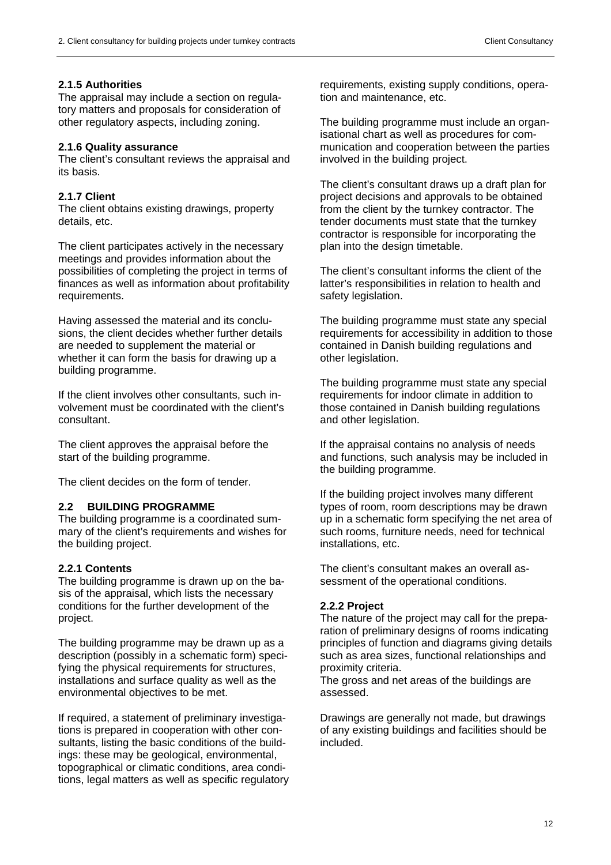# **2.1.5 Authorities**

The appraisal may include a section on regulatory matters and proposals for consideration of other regulatory aspects, including zoning.

#### **2.1.6 Quality assurance**

The client's consultant reviews the appraisal and its basis.

# **2.1.7 Client**

The client obtains existing drawings, property details, etc.

The client participates actively in the necessary meetings and provides information about the possibilities of completing the project in terms of finances as well as information about profitability requirements.

Having assessed the material and its conclusions, the client decides whether further details are needed to supplement the material or whether it can form the basis for drawing up a building programme.

If the client involves other consultants, such involvement must be coordinated with the client's consultant.

The client approves the appraisal before the start of the building programme.

The client decides on the form of tender.

# **2.2 BUILDING PROGRAMME**

The building programme is a coordinated summary of the client's requirements and wishes for the building project.

# **2.2.1 Contents**

The building programme is drawn up on the basis of the appraisal, which lists the necessary conditions for the further development of the project.

The building programme may be drawn up as a description (possibly in a schematic form) specifying the physical requirements for structures, installations and surface quality as well as the environmental objectives to be met.

If required, a statement of preliminary investigations is prepared in cooperation with other consultants, listing the basic conditions of the buildings: these may be geological, environmental, topographical or climatic conditions, area conditions, legal matters as well as specific regulatory requirements, existing supply conditions, operation and maintenance, etc.

The building programme must include an organisational chart as well as procedures for communication and cooperation between the parties involved in the building project.

The client's consultant draws up a draft plan for project decisions and approvals to be obtained from the client by the turnkey contractor. The tender documents must state that the turnkey contractor is responsible for incorporating the plan into the design timetable.

The client's consultant informs the client of the latter's responsibilities in relation to health and safety legislation.

The building programme must state any special requirements for accessibility in addition to those contained in Danish building regulations and other legislation.

The building programme must state any special requirements for indoor climate in addition to those contained in Danish building regulations and other legislation.

If the appraisal contains no analysis of needs and functions, such analysis may be included in the building programme.

If the building project involves many different types of room, room descriptions may be drawn up in a schematic form specifying the net area of such rooms, furniture needs, need for technical installations, etc.

The client's consultant makes an overall assessment of the operational conditions.

# **2.2.2 Project**

The nature of the project may call for the preparation of preliminary designs of rooms indicating principles of function and diagrams giving details such as area sizes, functional relationships and proximity criteria.

The gross and net areas of the buildings are assessed.

Drawings are generally not made, but drawings of any existing buildings and facilities should be included.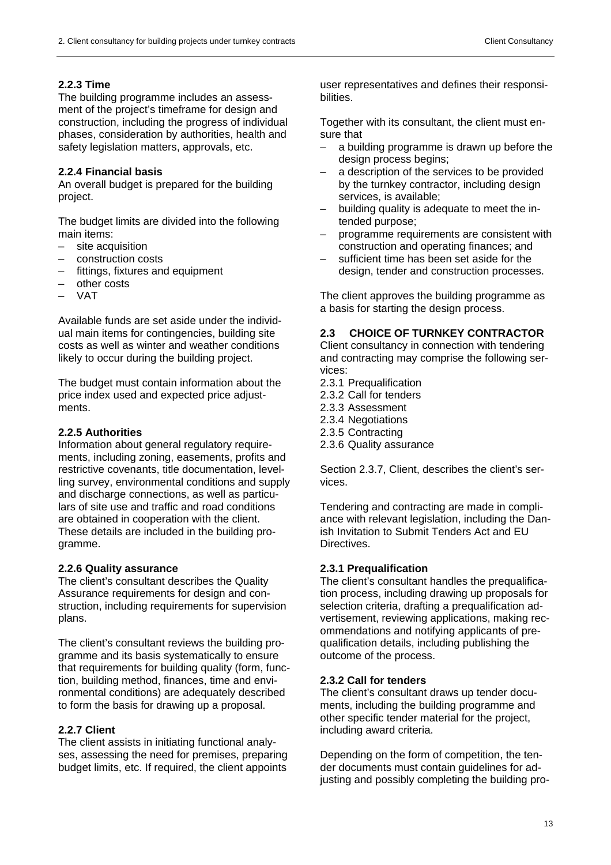# **2.2.3 Time**

The building programme includes an assessment of the project's timeframe for design and construction, including the progress of individual phases, consideration by authorities, health and safety legislation matters, approvals, etc.

# **2.2.4 Financial basis**

An overall budget is prepared for the building project.

The budget limits are divided into the following main items:

- site acquisition
- construction costs
- fittings, fixtures and equipment
- other costs
- VAT

Available funds are set aside under the individual main items for contingencies, building site costs as well as winter and weather conditions likely to occur during the building project.

The budget must contain information about the price index used and expected price adjustments.

#### **2.2.5 Authorities**

Information about general regulatory requirements, including zoning, easements, profits and restrictive covenants, title documentation, levelling survey, environmental conditions and supply and discharge connections, as well as particulars of site use and traffic and road conditions are obtained in cooperation with the client. These details are included in the building programme.

# **2.2.6 Quality assurance**

The client's consultant describes the Quality Assurance requirements for design and construction, including requirements for supervision plans.

The client's consultant reviews the building programme and its basis systematically to ensure that requirements for building quality (form, function, building method, finances, time and environmental conditions) are adequately described to form the basis for drawing up a proposal.

# **2.2.7 Client**

The client assists in initiating functional analyses, assessing the need for premises, preparing budget limits, etc. If required, the client appoints user representatives and defines their responsibilities.

Together with its consultant, the client must ensure that

- a building programme is drawn up before the design process begins;
- a description of the services to be provided by the turnkey contractor, including design services, is available;
- building quality is adequate to meet the intended purpose;
- programme requirements are consistent with construction and operating finances; and
- sufficient time has been set aside for the design, tender and construction processes.

The client approves the building programme as a basis for starting the design process.

# **2.3 CHOICE OF TURNKEY CONTRACTOR**

Client consultancy in connection with tendering and contracting may comprise the following services:

- 2.3.1 Prequalification
- 2.3.2 Call for tenders
- 2.3.3 Assessment
- 2.3.4 Negotiations
- 2.3.5 Contracting
- 2.3.6 Quality assurance

Section 2.3.7, Client, describes the client's services.

Tendering and contracting are made in compliance with relevant legislation, including the Danish Invitation to Submit Tenders Act and EU Directives.

# **2.3.1 Prequalification**

The client's consultant handles the prequalification process, including drawing up proposals for selection criteria, drafting a prequalification advertisement, reviewing applications, making recommendations and notifying applicants of prequalification details, including publishing the outcome of the process.

#### **2.3.2 Call for tenders**

The client's consultant draws up tender documents, including the building programme and other specific tender material for the project, including award criteria.

Depending on the form of competition, the tender documents must contain guidelines for adjusting and possibly completing the building pro-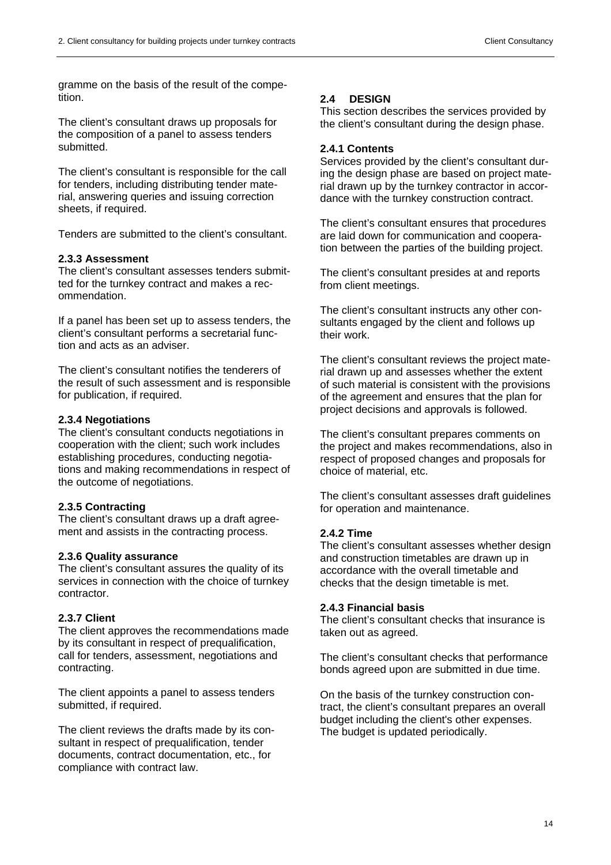gramme on the basis of the result of the competition.

The client's consultant draws up proposals for the composition of a panel to assess tenders submitted.

The client's consultant is responsible for the call for tenders, including distributing tender material, answering queries and issuing correction sheets, if required.

Tenders are submitted to the client's consultant.

# **2.3.3 Assessment**

The client's consultant assesses tenders submitted for the turnkey contract and makes a recommendation.

If a panel has been set up to assess tenders, the client's consultant performs a secretarial function and acts as an adviser.

The client's consultant notifies the tenderers of the result of such assessment and is responsible for publication, if required.

#### **2.3.4 Negotiations**

The client's consultant conducts negotiations in cooperation with the client; such work includes establishing procedures, conducting negotiations and making recommendations in respect of the outcome of negotiations.

#### **2.3.5 Contracting**

The client's consultant draws up a draft agreement and assists in the contracting process.

#### **2.3.6 Quality assurance**

The client's consultant assures the quality of its services in connection with the choice of turnkey contractor.

#### **2.3.7 Client**

The client approves the recommendations made by its consultant in respect of prequalification, call for tenders, assessment, negotiations and contracting.

The client appoints a panel to assess tenders submitted, if required.

The client reviews the drafts made by its consultant in respect of prequalification, tender documents, contract documentation, etc., for compliance with contract law.

# **2.4 DESIGN**

This section describes the services provided by the client's consultant during the design phase.

#### **2.4.1 Contents**

Services provided by the client's consultant during the design phase are based on project material drawn up by the turnkey contractor in accordance with the turnkey construction contract.

The client's consultant ensures that procedures are laid down for communication and cooperation between the parties of the building project.

The client's consultant presides at and reports from client meetings.

The client's consultant instructs any other consultants engaged by the client and follows up their work.

The client's consultant reviews the project material drawn up and assesses whether the extent of such material is consistent with the provisions of the agreement and ensures that the plan for project decisions and approvals is followed.

The client's consultant prepares comments on the project and makes recommendations, also in respect of proposed changes and proposals for choice of material, etc.

The client's consultant assesses draft guidelines for operation and maintenance.

#### **2.4.2 Time**

The client's consultant assesses whether design and construction timetables are drawn up in accordance with the overall timetable and checks that the design timetable is met.

#### **2.4.3 Financial basis**

The client's consultant checks that insurance is taken out as agreed.

The client's consultant checks that performance bonds agreed upon are submitted in due time.

On the basis of the turnkey construction contract, the client's consultant prepares an overall budget including the client's other expenses. The budget is updated periodically.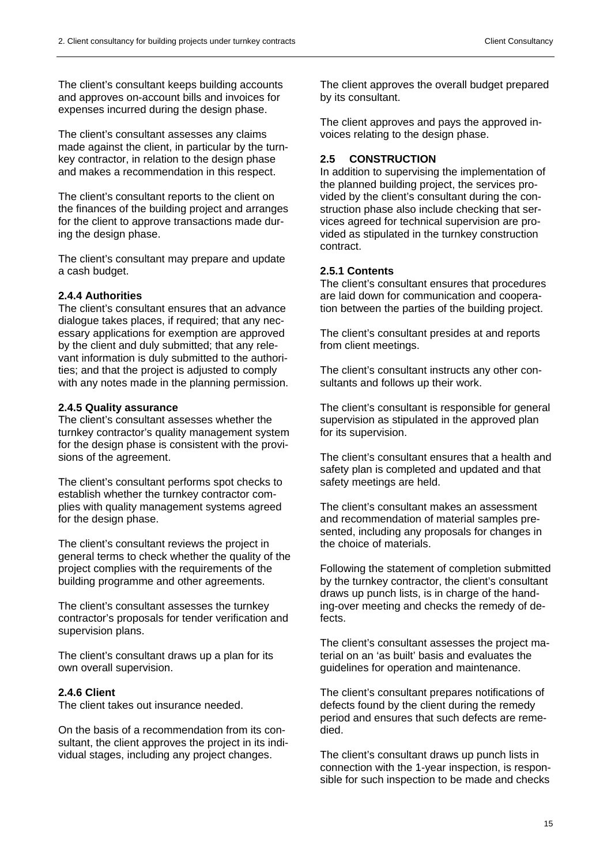The client's consultant keeps building accounts and approves on-account bills and invoices for expenses incurred during the design phase.

The client's consultant assesses any claims made against the client, in particular by the turnkey contractor, in relation to the design phase and makes a recommendation in this respect.

The client's consultant reports to the client on the finances of the building project and arranges for the client to approve transactions made during the design phase.

The client's consultant may prepare and update a cash budget.

# **2.4.4 Authorities**

The client's consultant ensures that an advance dialogue takes places, if required; that any necessary applications for exemption are approved by the client and duly submitted; that any relevant information is duly submitted to the authorities; and that the project is adjusted to comply with any notes made in the planning permission.

#### **2.4.5 Quality assurance**

The client's consultant assesses whether the turnkey contractor's quality management system for the design phase is consistent with the provisions of the agreement.

The client's consultant performs spot checks to establish whether the turnkey contractor complies with quality management systems agreed for the design phase.

The client's consultant reviews the project in general terms to check whether the quality of the project complies with the requirements of the building programme and other agreements.

The client's consultant assesses the turnkey contractor's proposals for tender verification and supervision plans.

The client's consultant draws up a plan for its own overall supervision.

# **2.4.6 Client**

The client takes out insurance needed.

On the basis of a recommendation from its consultant, the client approves the project in its individual stages, including any project changes.

The client approves the overall budget prepared by its consultant.

The client approves and pays the approved invoices relating to the design phase.

# **2.5 CONSTRUCTION**

In addition to supervising the implementation of the planned building project, the services provided by the client's consultant during the construction phase also include checking that services agreed for technical supervision are provided as stipulated in the turnkey construction contract.

#### **2.5.1 Contents**

The client's consultant ensures that procedures are laid down for communication and cooperation between the parties of the building project.

The client's consultant presides at and reports from client meetings.

The client's consultant instructs any other consultants and follows up their work.

The client's consultant is responsible for general supervision as stipulated in the approved plan for its supervision.

The client's consultant ensures that a health and safety plan is completed and updated and that safety meetings are held.

The client's consultant makes an assessment and recommendation of material samples presented, including any proposals for changes in the choice of materials.

Following the statement of completion submitted by the turnkey contractor, the client's consultant draws up punch lists, is in charge of the handing-over meeting and checks the remedy of defects.

The client's consultant assesses the project material on an 'as built' basis and evaluates the guidelines for operation and maintenance.

The client's consultant prepares notifications of defects found by the client during the remedy period and ensures that such defects are remedied.

The client's consultant draws up punch lists in connection with the 1-year inspection, is responsible for such inspection to be made and checks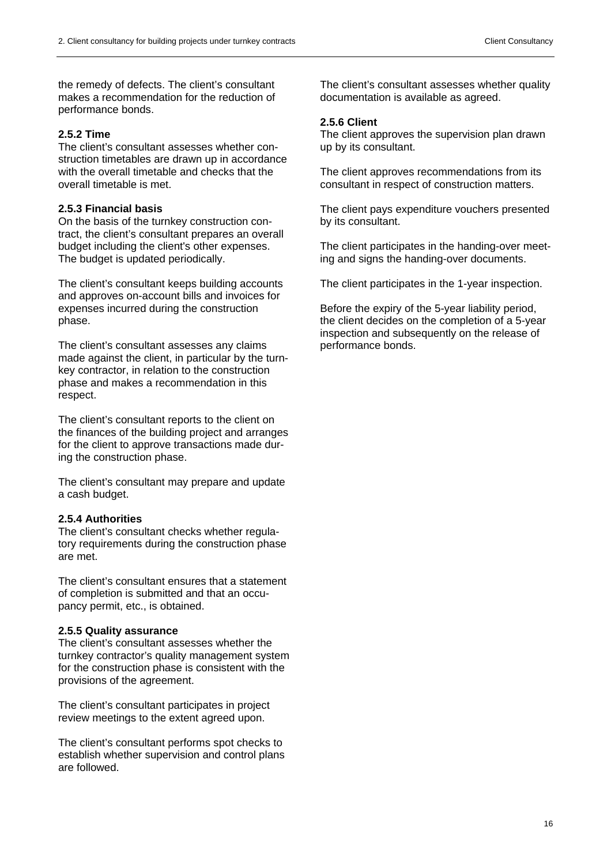the remedy of defects. The client's consultant makes a recommendation for the reduction of performance bonds.

#### **2.5.2 Time**

The client's consultant assesses whether construction timetables are drawn up in accordance with the overall timetable and checks that the overall timetable is met.

#### **2.5.3 Financial basis**

On the basis of the turnkey construction contract, the client's consultant prepares an overall budget including the client's other expenses. The budget is updated periodically.

The client's consultant keeps building accounts and approves on-account bills and invoices for expenses incurred during the construction phase.

The client's consultant assesses any claims made against the client, in particular by the turnkey contractor, in relation to the construction phase and makes a recommendation in this respect.

The client's consultant reports to the client on the finances of the building project and arranges for the client to approve transactions made during the construction phase.

The client's consultant may prepare and update a cash budget.

#### **2.5.4 Authorities**

The client's consultant checks whether regulatory requirements during the construction phase are met.

The client's consultant ensures that a statement of completion is submitted and that an occupancy permit, etc., is obtained.

#### **2.5.5 Quality assurance**

The client's consultant assesses whether the turnkey contractor's quality management system for the construction phase is consistent with the provisions of the agreement.

The client's consultant participates in project review meetings to the extent agreed upon.

The client's consultant performs spot checks to establish whether supervision and control plans are followed.

The client's consultant assesses whether quality documentation is available as agreed.

#### **2.5.6 Client**

The client approves the supervision plan drawn up by its consultant.

The client approves recommendations from its consultant in respect of construction matters.

The client pays expenditure vouchers presented by its consultant.

The client participates in the handing-over meeting and signs the handing-over documents.

The client participates in the 1-year inspection.

Before the expiry of the 5-year liability period, the client decides on the completion of a 5-year inspection and subsequently on the release of performance bonds.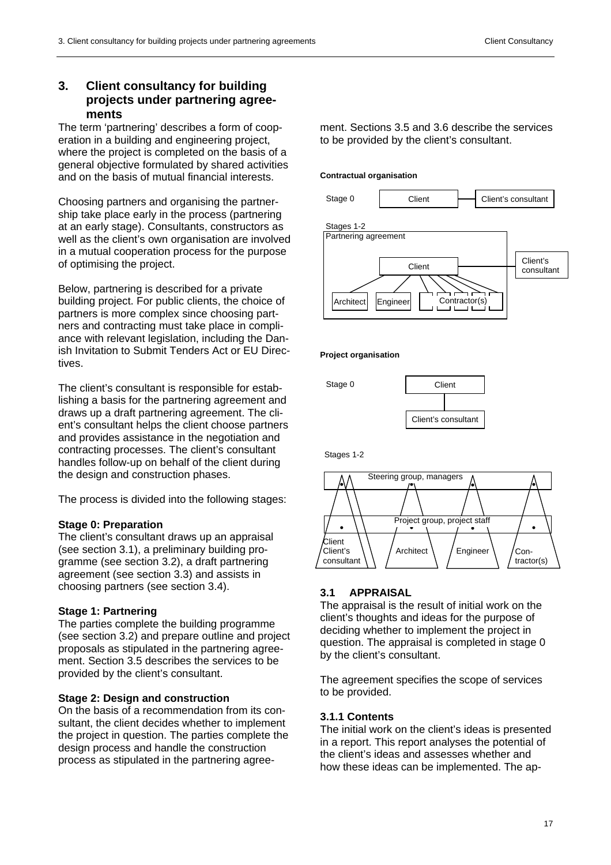# **3. Client consultancy for building projects under partnering agreements**

The term 'partnering' describes a form of cooperation in a building and engineering project, where the project is completed on the basis of a general objective formulated by shared activities and on the basis of mutual financial interests.

Choosing partners and organising the partnership take place early in the process (partnering at an early stage). Consultants, constructors as well as the client's own organisation are involved in a mutual cooperation process for the purpose of optimising the project.

Below, partnering is described for a private building project. For public clients, the choice of partners is more complex since choosing partners and contracting must take place in compliance with relevant legislation, including the Danish Invitation to Submit Tenders Act or EU Directives.

The client's consultant is responsible for establishing a basis for the partnering agreement and draws up a draft partnering agreement. The client's consultant helps the client choose partners and provides assistance in the negotiation and contracting processes. The client's consultant handles follow-up on behalf of the client during the design and construction phases.

The process is divided into the following stages:

# **Stage 0: Preparation**

The client's consultant draws up an appraisal (see section 3.1), a preliminary building programme (see section 3.2), a draft partnering agreement (see section 3.3) and assists in choosing partners (see section 3.4).

# **Stage 1: Partnering**

The parties complete the building programme (see section 3.2) and prepare outline and project proposals as stipulated in the partnering agreement. Section 3.5 describes the services to be provided by the client's consultant.

# **Stage 2: Design and construction**

On the basis of a recommendation from its consultant, the client decides whether to implement the project in question. The parties complete the design process and handle the construction process as stipulated in the partnering agreement. Sections 3.5 and 3.6 describe the services to be provided by the client's consultant.

#### **Contractual organisation**



#### **Project organisation**



Stages 1-2



# **3.1 APPRAISAL**

The appraisal is the result of initial work on the client's thoughts and ideas for the purpose of deciding whether to implement the project in question. The appraisal is completed in stage 0 by the client's consultant.

The agreement specifies the scope of services to be provided.

# **3.1.1 Contents**

The initial work on the client's ideas is presented in a report. This report analyses the potential of the client's ideas and assesses whether and how these ideas can be implemented. The ap-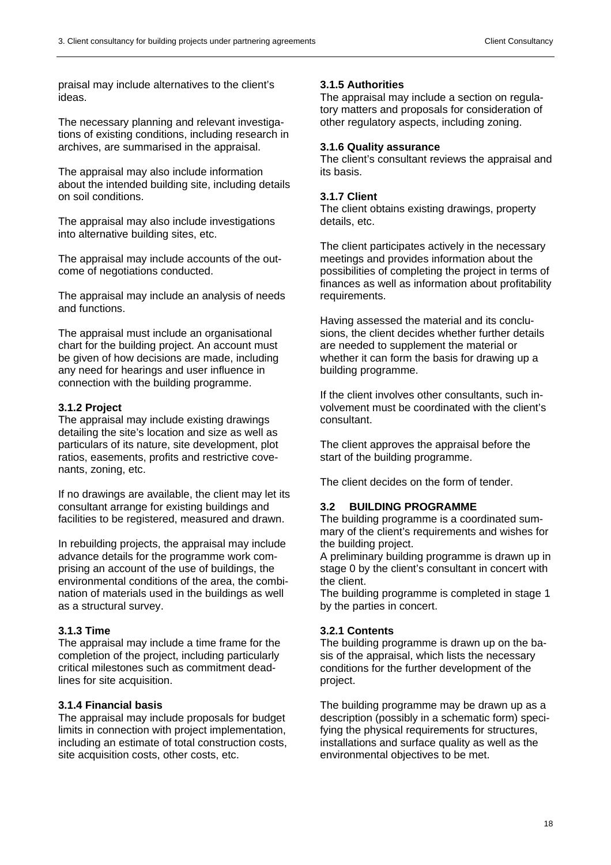praisal may include alternatives to the client's ideas.

The necessary planning and relevant investigations of existing conditions, including research in archives, are summarised in the appraisal.

The appraisal may also include information about the intended building site, including details on soil conditions.

The appraisal may also include investigations into alternative building sites, etc.

The appraisal may include accounts of the outcome of negotiations conducted.

The appraisal may include an analysis of needs and functions.

The appraisal must include an organisational chart for the building project. An account must be given of how decisions are made, including any need for hearings and user influence in connection with the building programme.

#### **3.1.2 Project**

The appraisal may include existing drawings detailing the site's location and size as well as particulars of its nature, site development, plot ratios, easements, profits and restrictive covenants, zoning, etc.

If no drawings are available, the client may let its consultant arrange for existing buildings and facilities to be registered, measured and drawn.

In rebuilding projects, the appraisal may include advance details for the programme work comprising an account of the use of buildings, the environmental conditions of the area, the combination of materials used in the buildings as well as a structural survey.

#### **3.1.3 Time**

The appraisal may include a time frame for the completion of the project, including particularly critical milestones such as commitment deadlines for site acquisition.

#### **3.1.4 Financial basis**

The appraisal may include proposals for budget limits in connection with project implementation, including an estimate of total construction costs, site acquisition costs, other costs, etc.

# **3.1.5 Authorities**

The appraisal may include a section on regulatory matters and proposals for consideration of other regulatory aspects, including zoning.

#### **3.1.6 Quality assurance**

The client's consultant reviews the appraisal and its basis.

#### **3.1.7 Client**

The client obtains existing drawings, property details, etc.

The client participates actively in the necessary meetings and provides information about the possibilities of completing the project in terms of finances as well as information about profitability requirements.

Having assessed the material and its conclusions, the client decides whether further details are needed to supplement the material or whether it can form the basis for drawing up a building programme.

If the client involves other consultants, such involvement must be coordinated with the client's consultant.

The client approves the appraisal before the start of the building programme.

The client decides on the form of tender.

#### **3.2 BUILDING PROGRAMME**

The building programme is a coordinated summary of the client's requirements and wishes for the building project.

A preliminary building programme is drawn up in stage 0 by the client's consultant in concert with the client.

The building programme is completed in stage 1 by the parties in concert.

#### **3.2.1 Contents**

The building programme is drawn up on the basis of the appraisal, which lists the necessary conditions for the further development of the project.

The building programme may be drawn up as a description (possibly in a schematic form) specifying the physical requirements for structures, installations and surface quality as well as the environmental objectives to be met.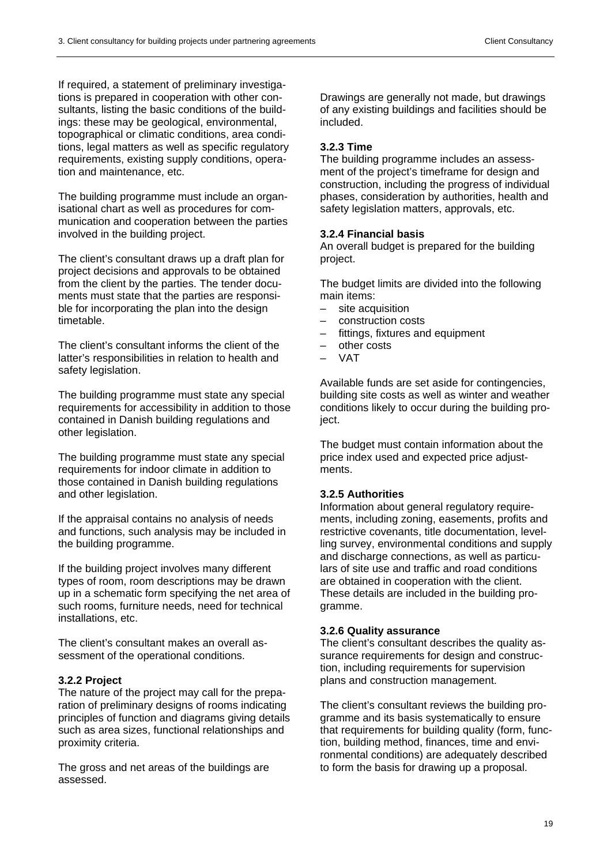If required, a statement of preliminary investigations is prepared in cooperation with other consultants, listing the basic conditions of the buildings: these may be geological, environmental, topographical or climatic conditions, area conditions, legal matters as well as specific regulatory requirements, existing supply conditions, operation and maintenance, etc.

The building programme must include an organisational chart as well as procedures for communication and cooperation between the parties involved in the building project.

The client's consultant draws up a draft plan for project decisions and approvals to be obtained from the client by the parties. The tender documents must state that the parties are responsible for incorporating the plan into the design timetable.

The client's consultant informs the client of the latter's responsibilities in relation to health and safety legislation.

The building programme must state any special requirements for accessibility in addition to those contained in Danish building regulations and other legislation.

The building programme must state any special requirements for indoor climate in addition to those contained in Danish building regulations and other legislation.

If the appraisal contains no analysis of needs and functions, such analysis may be included in the building programme.

If the building project involves many different types of room, room descriptions may be drawn up in a schematic form specifying the net area of such rooms, furniture needs, need for technical installations, etc.

The client's consultant makes an overall assessment of the operational conditions.

# **3.2.2 Project**

The nature of the project may call for the preparation of preliminary designs of rooms indicating principles of function and diagrams giving details such as area sizes, functional relationships and proximity criteria.

The gross and net areas of the buildings are assessed.

Drawings are generally not made, but drawings of any existing buildings and facilities should be included.

# **3.2.3 Time**

The building programme includes an assessment of the project's timeframe for design and construction, including the progress of individual phases, consideration by authorities, health and safety legislation matters, approvals, etc.

# **3.2.4 Financial basis**

An overall budget is prepared for the building project.

The budget limits are divided into the following main items:

- site acquisition
- construction costs
- fittings, fixtures and equipment
- other costs
- VAT

Available funds are set aside for contingencies, building site costs as well as winter and weather conditions likely to occur during the building project.

The budget must contain information about the price index used and expected price adjustments.

# **3.2.5 Authorities**

Information about general regulatory requirements, including zoning, easements, profits and restrictive covenants, title documentation, levelling survey, environmental conditions and supply and discharge connections, as well as particulars of site use and traffic and road conditions are obtained in cooperation with the client. These details are included in the building programme.

# **3.2.6 Quality assurance**

The client's consultant describes the quality assurance requirements for design and construction, including requirements for supervision plans and construction management.

The client's consultant reviews the building programme and its basis systematically to ensure that requirements for building quality (form, function, building method, finances, time and environmental conditions) are adequately described to form the basis for drawing up a proposal.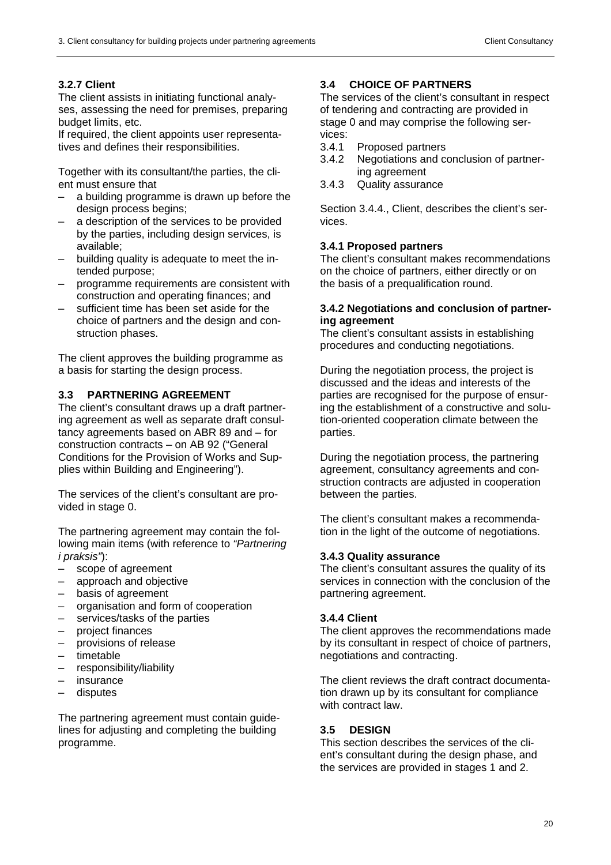# **3.2.7 Client**

The client assists in initiating functional analyses, assessing the need for premises, preparing budget limits, etc.

If required, the client appoints user representatives and defines their responsibilities.

Together with its consultant/the parties, the client must ensure that

- a building programme is drawn up before the design process begins;
- a description of the services to be provided by the parties, including design services, is available;
- building quality is adequate to meet the intended purpose;
- programme requirements are consistent with construction and operating finances; and
- sufficient time has been set aside for the choice of partners and the design and construction phases.

The client approves the building programme as a basis for starting the design process.

# **3.3 PARTNERING AGREEMENT**

The client's consultant draws up a draft partnering agreement as well as separate draft consultancy agreements based on ABR 89 and – for construction contracts – on AB 92 ("General Conditions for the Provision of Works and Supplies within Building and Engineering").

The services of the client's consultant are provided in stage 0.

The partnering agreement may contain the following main items (with reference to *"Partnering i praksis"*):

- scope of agreement<br>– approach and object
- approach and objective
- basis of agreement
- organisation and form of cooperation
- services/tasks of the parties
- project finances
- provisions of release
- timetable
- responsibility/liability
- insurance
- disputes

The partnering agreement must contain guidelines for adjusting and completing the building programme.

# **3.4 CHOICE OF PARTNERS**

The services of the client's consultant in respect of tendering and contracting are provided in stage 0 and may comprise the following services:

- 3.4.1 Proposed partners
- 3.4.2 Negotiations and conclusion of partnering agreement
- 3.4.3 Quality assurance

Section 3.4.4., Client, describes the client's services.

# **3.4.1 Proposed partners**

The client's consultant makes recommendations on the choice of partners, either directly or on the basis of a prequalification round.

#### **3.4.2 Negotiations and conclusion of partnering agreement**

The client's consultant assists in establishing procedures and conducting negotiations.

During the negotiation process, the project is discussed and the ideas and interests of the parties are recognised for the purpose of ensuring the establishment of a constructive and solution-oriented cooperation climate between the parties.

During the negotiation process, the partnering agreement, consultancy agreements and construction contracts are adjusted in cooperation between the parties.

The client's consultant makes a recommendation in the light of the outcome of negotiations.

# **3.4.3 Quality assurance**

The client's consultant assures the quality of its services in connection with the conclusion of the partnering agreement.

# **3.4.4 Client**

The client approves the recommendations made by its consultant in respect of choice of partners, negotiations and contracting.

The client reviews the draft contract documentation drawn up by its consultant for compliance with contract law.

# **3.5 DESIGN**

This section describes the services of the client's consultant during the design phase, and the services are provided in stages 1 and 2.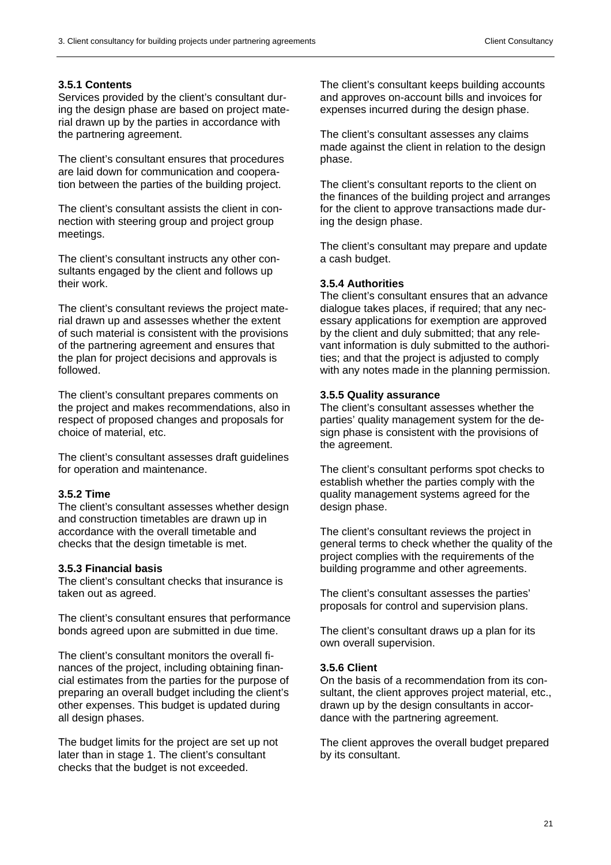# **3.5.1 Contents**

Services provided by the client's consultant during the design phase are based on project material drawn up by the parties in accordance with the partnering agreement.

The client's consultant ensures that procedures are laid down for communication and cooperation between the parties of the building project.

The client's consultant assists the client in connection with steering group and project group meetings.

The client's consultant instructs any other consultants engaged by the client and follows up their work.

The client's consultant reviews the project material drawn up and assesses whether the extent of such material is consistent with the provisions of the partnering agreement and ensures that the plan for project decisions and approvals is followed.

The client's consultant prepares comments on the project and makes recommendations, also in respect of proposed changes and proposals for choice of material, etc.

The client's consultant assesses draft guidelines for operation and maintenance.

# **3.5.2 Time**

The client's consultant assesses whether design and construction timetables are drawn up in accordance with the overall timetable and checks that the design timetable is met.

# **3.5.3 Financial basis**

The client's consultant checks that insurance is taken out as agreed.

The client's consultant ensures that performance bonds agreed upon are submitted in due time.

The client's consultant monitors the overall finances of the project, including obtaining financial estimates from the parties for the purpose of preparing an overall budget including the client's other expenses. This budget is updated during all design phases.

The budget limits for the project are set up not later than in stage 1. The client's consultant checks that the budget is not exceeded.

The client's consultant keeps building accounts and approves on-account bills and invoices for expenses incurred during the design phase.

The client's consultant assesses any claims made against the client in relation to the design phase.

The client's consultant reports to the client on the finances of the building project and arranges for the client to approve transactions made during the design phase.

The client's consultant may prepare and update a cash budget.

# **3.5.4 Authorities**

The client's consultant ensures that an advance dialogue takes places, if required; that any necessary applications for exemption are approved by the client and duly submitted; that any relevant information is duly submitted to the authorities; and that the project is adjusted to comply with any notes made in the planning permission.

# **3.5.5 Quality assurance**

The client's consultant assesses whether the parties' quality management system for the design phase is consistent with the provisions of the agreement.

The client's consultant performs spot checks to establish whether the parties comply with the quality management systems agreed for the design phase.

The client's consultant reviews the project in general terms to check whether the quality of the project complies with the requirements of the building programme and other agreements.

The client's consultant assesses the parties' proposals for control and supervision plans.

The client's consultant draws up a plan for its own overall supervision.

# **3.5.6 Client**

On the basis of a recommendation from its consultant, the client approves project material, etc., drawn up by the design consultants in accordance with the partnering agreement.

The client approves the overall budget prepared by its consultant.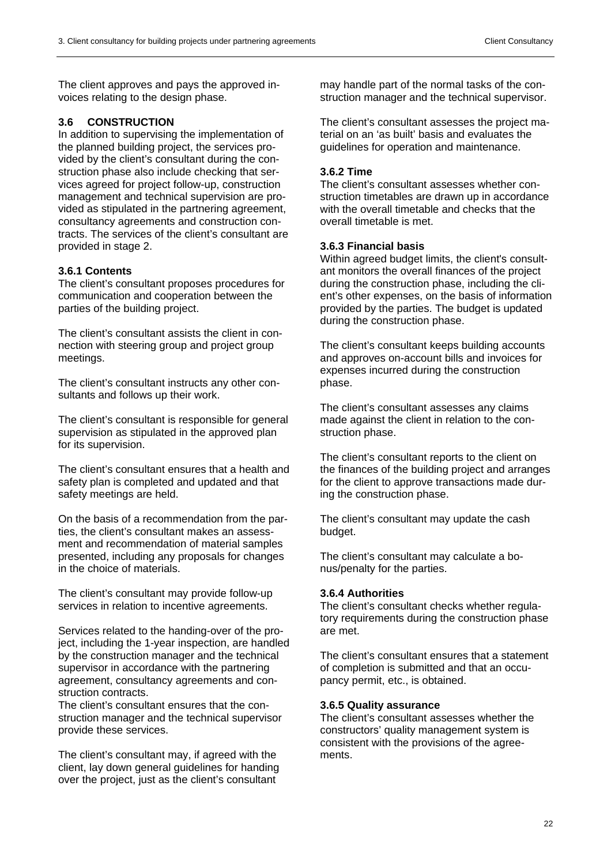The client approves and pays the approved invoices relating to the design phase.

# **3.6 CONSTRUCTION**

In addition to supervising the implementation of the planned building project, the services provided by the client's consultant during the construction phase also include checking that services agreed for project follow-up, construction management and technical supervision are provided as stipulated in the partnering agreement, consultancy agreements and construction contracts. The services of the client's consultant are provided in stage 2.

# **3.6.1 Contents**

The client's consultant proposes procedures for communication and cooperation between the parties of the building project.

The client's consultant assists the client in connection with steering group and project group meetings.

The client's consultant instructs any other consultants and follows up their work.

The client's consultant is responsible for general supervision as stipulated in the approved plan for its supervision.

The client's consultant ensures that a health and safety plan is completed and updated and that safety meetings are held.

On the basis of a recommendation from the parties, the client's consultant makes an assessment and recommendation of material samples presented, including any proposals for changes in the choice of materials.

The client's consultant may provide follow-up services in relation to incentive agreements.

Services related to the handing-over of the project, including the 1-year inspection, are handled by the construction manager and the technical supervisor in accordance with the partnering agreement, consultancy agreements and construction contracts.

The client's consultant ensures that the construction manager and the technical supervisor provide these services.

The client's consultant may, if agreed with the client, lay down general guidelines for handing over the project, just as the client's consultant

may handle part of the normal tasks of the construction manager and the technical supervisor.

The client's consultant assesses the project material on an 'as built' basis and evaluates the guidelines for operation and maintenance.

# **3.6.2 Time**

The client's consultant assesses whether construction timetables are drawn up in accordance with the overall timetable and checks that the overall timetable is met.

# **3.6.3 Financial basis**

Within agreed budget limits, the client's consultant monitors the overall finances of the project during the construction phase, including the client's other expenses, on the basis of information provided by the parties. The budget is updated during the construction phase.

The client's consultant keeps building accounts and approves on-account bills and invoices for expenses incurred during the construction phase.

The client's consultant assesses any claims made against the client in relation to the construction phase.

The client's consultant reports to the client on the finances of the building project and arranges for the client to approve transactions made during the construction phase.

The client's consultant may update the cash budget.

The client's consultant may calculate a bonus/penalty for the parties.

# **3.6.4 Authorities**

The client's consultant checks whether regulatory requirements during the construction phase are met.

The client's consultant ensures that a statement of completion is submitted and that an occupancy permit, etc., is obtained.

# **3.6.5 Quality assurance**

The client's consultant assesses whether the constructors' quality management system is consistent with the provisions of the agreements.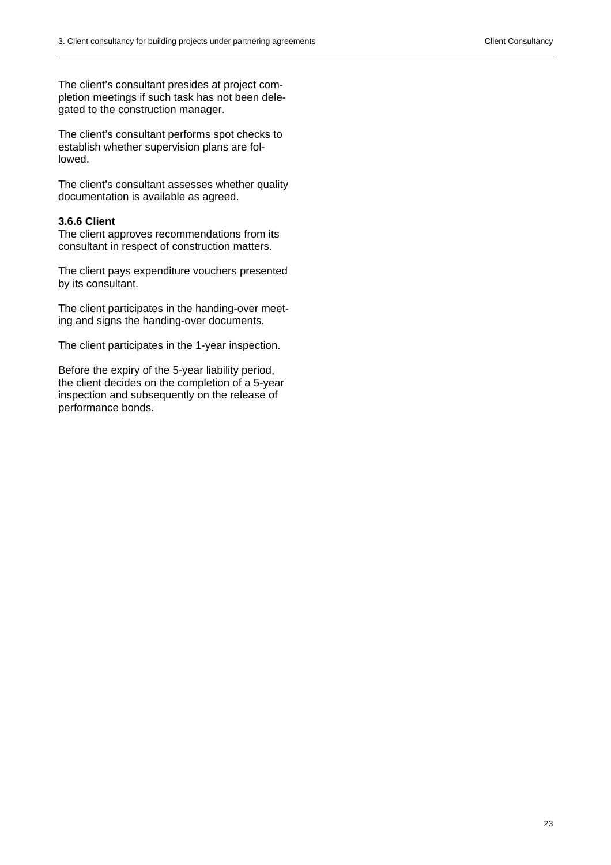The client's consultant presides at project completion meetings if such task has not been delegated to the construction manager.

The client's consultant performs spot checks to establish whether supervision plans are followed.

The client's consultant assesses whether quality documentation is available as agreed.

#### **3.6.6 Client**

The client approves recommendations from its consultant in respect of construction matters.

The client pays expenditure vouchers presented by its consultant.

The client participates in the handing-over meeting and signs the handing-over documents.

The client participates in the 1-year inspection.

Before the expiry of the 5-year liability period, the client decides on the completion of a 5-year inspection and subsequently on the release of performance bonds.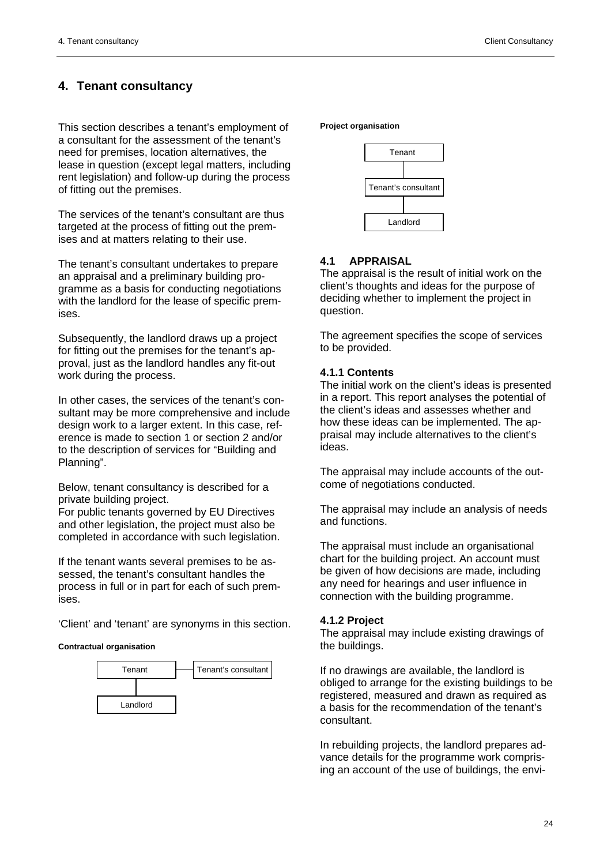# **4. Tenant consultancy**

This section describes a tenant's employment of a consultant for the assessment of the tenant's need for premises, location alternatives, the lease in question (except legal matters, including rent legislation) and follow-up during the process of fitting out the premises.

The services of the tenant's consultant are thus targeted at the process of fitting out the premises and at matters relating to their use.

The tenant's consultant undertakes to prepare an appraisal and a preliminary building programme as a basis for conducting negotiations with the landlord for the lease of specific premises.

Subsequently, the landlord draws up a project for fitting out the premises for the tenant's approval, just as the landlord handles any fit-out work during the process.

In other cases, the services of the tenant's consultant may be more comprehensive and include design work to a larger extent. In this case, reference is made to section 1 or section 2 and/or to the description of services for "Building and Planning".

Below, tenant consultancy is described for a private building project.

For public tenants governed by EU Directives and other legislation, the project must also be completed in accordance with such legislation.

If the tenant wants several premises to be assessed, the tenant's consultant handles the process in full or in part for each of such premises.

'Client' and 'tenant' are synonyms in this section.

#### **Contractual organisation**



**Project organisation** 



# **4.1 APPRAISAL**

The appraisal is the result of initial work on the client's thoughts and ideas for the purpose of deciding whether to implement the project in question.

The agreement specifies the scope of services to be provided.

#### **4.1.1 Contents**

The initial work on the client's ideas is presented in a report. This report analyses the potential of the client's ideas and assesses whether and how these ideas can be implemented. The appraisal may include alternatives to the client's ideas.

The appraisal may include accounts of the outcome of negotiations conducted.

The appraisal may include an analysis of needs and functions.

The appraisal must include an organisational chart for the building project. An account must be given of how decisions are made, including any need for hearings and user influence in connection with the building programme.

#### **4.1.2 Project**

The appraisal may include existing drawings of the buildings.

If no drawings are available, the landlord is obliged to arrange for the existing buildings to be registered, measured and drawn as required as a basis for the recommendation of the tenant's consultant.

In rebuilding projects, the landlord prepares advance details for the programme work comprising an account of the use of buildings, the envi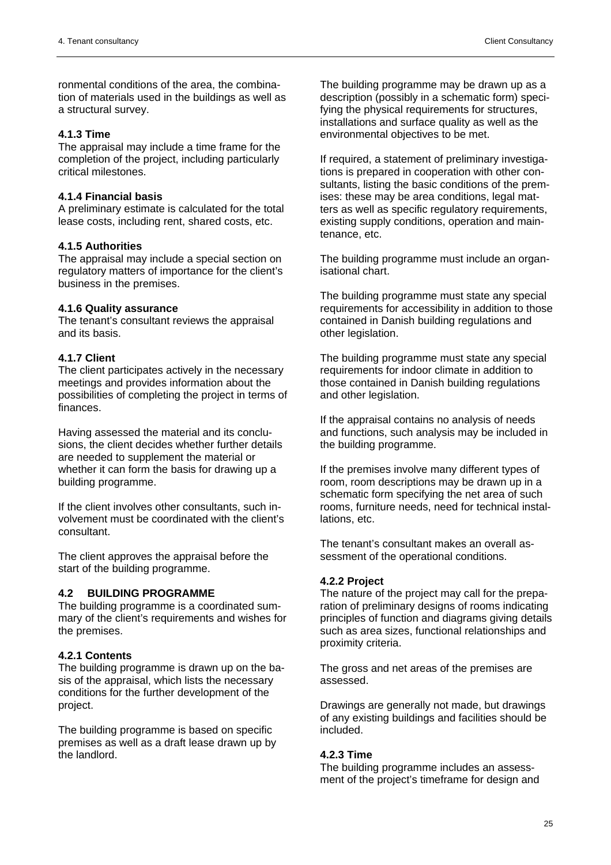ronmental conditions of the area, the combination of materials used in the buildings as well as a structural survey.

#### **4.1.3 Time**

The appraisal may include a time frame for the completion of the project, including particularly critical milestones.

#### **4.1.4 Financial basis**

A preliminary estimate is calculated for the total lease costs, including rent, shared costs, etc.

# **4.1.5 Authorities**

The appraisal may include a special section on regulatory matters of importance for the client's business in the premises.

#### **4.1.6 Quality assurance**

The tenant's consultant reviews the appraisal and its basis.

#### **4.1.7 Client**

The client participates actively in the necessary meetings and provides information about the possibilities of completing the project in terms of finances.

Having assessed the material and its conclusions, the client decides whether further details are needed to supplement the material or whether it can form the basis for drawing up a building programme.

If the client involves other consultants, such involvement must be coordinated with the client's consultant.

The client approves the appraisal before the start of the building programme.

#### **4.2 BUILDING PROGRAMME**

The building programme is a coordinated summary of the client's requirements and wishes for the premises.

#### **4.2.1 Contents**

The building programme is drawn up on the basis of the appraisal, which lists the necessary conditions for the further development of the project.

The building programme is based on specific premises as well as a draft lease drawn up by the landlord.

The building programme may be drawn up as a description (possibly in a schematic form) specifying the physical requirements for structures. installations and surface quality as well as the environmental objectives to be met.

If required, a statement of preliminary investigations is prepared in cooperation with other consultants, listing the basic conditions of the premises: these may be area conditions, legal matters as well as specific regulatory requirements, existing supply conditions, operation and maintenance, etc.

The building programme must include an organisational chart.

The building programme must state any special requirements for accessibility in addition to those contained in Danish building regulations and other legislation.

The building programme must state any special requirements for indoor climate in addition to those contained in Danish building regulations and other legislation.

If the appraisal contains no analysis of needs and functions, such analysis may be included in the building programme.

If the premises involve many different types of room, room descriptions may be drawn up in a schematic form specifying the net area of such rooms, furniture needs, need for technical installations, etc.

The tenant's consultant makes an overall assessment of the operational conditions.

#### **4.2.2 Project**

The nature of the project may call for the preparation of preliminary designs of rooms indicating principles of function and diagrams giving details such as area sizes, functional relationships and proximity criteria.

The gross and net areas of the premises are assessed.

Drawings are generally not made, but drawings of any existing buildings and facilities should be included.

#### **4.2.3 Time**

The building programme includes an assessment of the project's timeframe for design and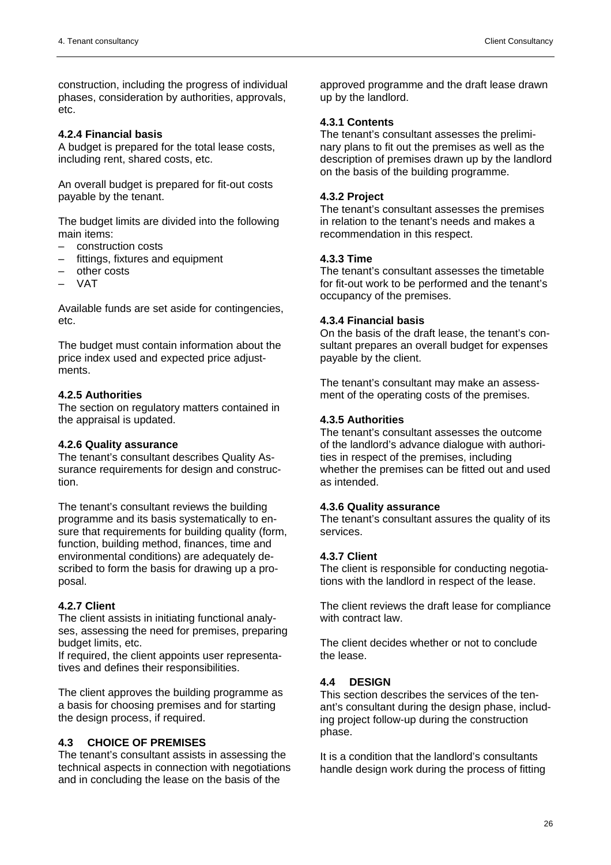construction, including the progress of individual phases, consideration by authorities, approvals, etc.

#### **4.2.4 Financial basis**

A budget is prepared for the total lease costs, including rent, shared costs, etc.

An overall budget is prepared for fit-out costs payable by the tenant.

The budget limits are divided into the following main items:

- construction costs
- fittings, fixtures and equipment
- other costs
- VAT

Available funds are set aside for contingencies, etc.

The budget must contain information about the price index used and expected price adjustments.

#### **4.2.5 Authorities**

The section on regulatory matters contained in the appraisal is updated.

#### **4.2.6 Quality assurance**

The tenant's consultant describes Quality Assurance requirements for design and construction.

The tenant's consultant reviews the building programme and its basis systematically to ensure that requirements for building quality (form, function, building method, finances, time and environmental conditions) are adequately described to form the basis for drawing up a proposal.

#### **4.2.7 Client**

The client assists in initiating functional analyses, assessing the need for premises, preparing budget limits, etc.

If required, the client appoints user representatives and defines their responsibilities.

The client approves the building programme as a basis for choosing premises and for starting the design process, if required.

# **4.3 CHOICE OF PREMISES**

The tenant's consultant assists in assessing the technical aspects in connection with negotiations and in concluding the lease on the basis of the

approved programme and the draft lease drawn up by the landlord.

# **4.3.1 Contents**

The tenant's consultant assesses the preliminary plans to fit out the premises as well as the description of premises drawn up by the landlord on the basis of the building programme.

#### **4.3.2 Project**

The tenant's consultant assesses the premises in relation to the tenant's needs and makes a recommendation in this respect.

#### **4.3.3 Time**

The tenant's consultant assesses the timetable for fit-out work to be performed and the tenant's occupancy of the premises.

#### **4.3.4 Financial basis**

On the basis of the draft lease, the tenant's consultant prepares an overall budget for expenses payable by the client.

The tenant's consultant may make an assessment of the operating costs of the premises.

#### **4.3.5 Authorities**

The tenant's consultant assesses the outcome of the landlord's advance dialogue with authorities in respect of the premises, including whether the premises can be fitted out and used as intended.

#### **4.3.6 Quality assurance**

The tenant's consultant assures the quality of its services.

#### **4.3.7 Client**

The client is responsible for conducting negotiations with the landlord in respect of the lease.

The client reviews the draft lease for compliance with contract law

The client decides whether or not to conclude the lease.

#### **4.4 DESIGN**

This section describes the services of the tenant's consultant during the design phase, including project follow-up during the construction phase.

It is a condition that the landlord's consultants handle design work during the process of fitting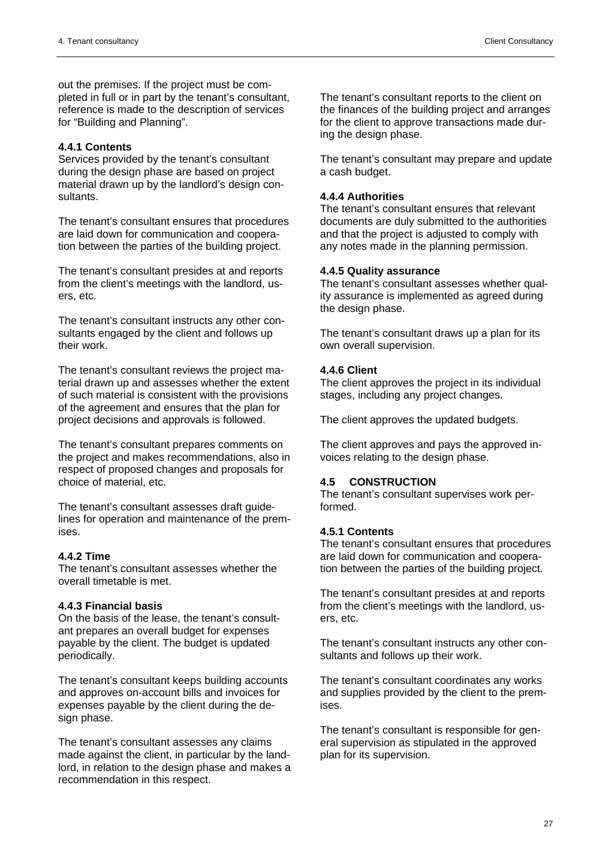out the premises. If the project must be completed in full or in part by the tenant's consultant, reference is made to the description of services for "Building and Planning".

# **4.4.1 Contents**

Services provided by the tenant's consultant during the design phase are based on project material drawn up by the landlord's design consultants.

The tenant's consultant ensures that procedures are laid down for communication and cooperation between the parties of the building project.

The tenant's consultant presides at and reports from the client's meetings with the landlord, users, etc.

The tenant's consultant instructs any other consultants engaged by the client and follows up their work.

The tenant's consultant reviews the project material drawn up and assesses whether the extent of such material is consistent with the provisions of the agreement and ensures that the plan for project decisions and approvals is followed.

The tenant's consultant prepares comments on the project and makes recommendations, also in respect of proposed changes and proposals for choice of material, etc.

The tenant's consultant assesses draft guidelines for operation and maintenance of the premises.

# **4.4.2 Time**

The tenant's consultant assesses whether the overall timetable is met.

# **4.4.3 Financial basis**

On the basis of the lease, the tenant's consultant prepares an overall budget for expenses payable by the client. The budget is updated periodically.

The tenant's consultant keeps building accounts and approves on-account bills and invoices for expenses payable by the client during the design phase.

The tenant's consultant assesses any claims made against the client, in particular by the landlord, in relation to the design phase and makes a recommendation in this respect.

The tenant's consultant reports to the client on the finances of the building project and arranges for the client to approve transactions made during the design phase.

The tenant's consultant may prepare and update a cash budget.

# **4.4.4 Authorities**

The tenant's consultant ensures that relevant documents are duly submitted to the authorities and that the project is adjusted to comply with any notes made in the planning permission.

#### **4.4.5 Quality assurance**

The tenant's consultant assesses whether quality assurance is implemented as agreed during the design phase.

The tenant's consultant draws up a plan for its own overall supervision.

# **4.4.6 Client**

The client approves the project in its individual stages, including any project changes.

The client approves the updated budgets.

The client approves and pays the approved invoices relating to the design phase.

# **4.5 CONSTRUCTION**

The tenant's consultant supervises work performed.

# **4.5.1 Contents**

The tenant's consultant ensures that procedures are laid down for communication and cooperation between the parties of the building project.

The tenant's consultant presides at and reports from the client's meetings with the landlord, users, etc.

The tenant's consultant instructs any other consultants and follows up their work.

The tenant's consultant coordinates any works and supplies provided by the client to the premises.

The tenant's consultant is responsible for general supervision as stipulated in the approved plan for its supervision.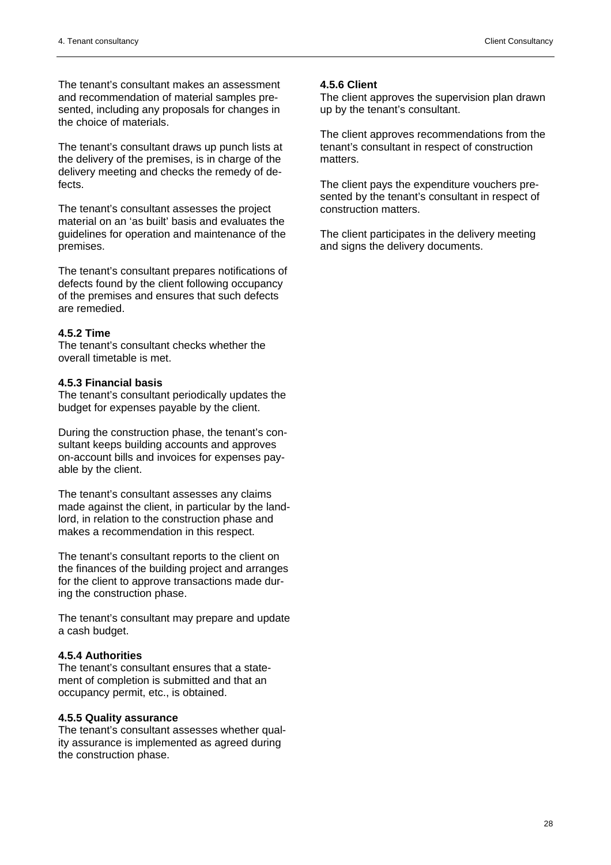The tenant's consultant makes an assessment and recommendation of material samples presented, including any proposals for changes in the choice of materials.

The tenant's consultant draws up punch lists at the delivery of the premises, is in charge of the delivery meeting and checks the remedy of defects.

The tenant's consultant assesses the project material on an 'as built' basis and evaluates the guidelines for operation and maintenance of the premises.

The tenant's consultant prepares notifications of defects found by the client following occupancy of the premises and ensures that such defects are remedied.

#### **4.5.2 Time**

The tenant's consultant checks whether the overall timetable is met.

#### **4.5.3 Financial basis**

The tenant's consultant periodically updates the budget for expenses payable by the client.

During the construction phase, the tenant's consultant keeps building accounts and approves on-account bills and invoices for expenses payable by the client.

The tenant's consultant assesses any claims made against the client, in particular by the landlord, in relation to the construction phase and makes a recommendation in this respect.

The tenant's consultant reports to the client on the finances of the building project and arranges for the client to approve transactions made during the construction phase.

The tenant's consultant may prepare and update a cash budget.

# **4.5.4 Authorities**

The tenant's consultant ensures that a statement of completion is submitted and that an occupancy permit, etc., is obtained.

#### **4.5.5 Quality assurance**

The tenant's consultant assesses whether quality assurance is implemented as agreed during the construction phase.

#### **4.5.6 Client**

The client approves the supervision plan drawn up by the tenant's consultant.

The client approves recommendations from the tenant's consultant in respect of construction matters.

The client pays the expenditure vouchers presented by the tenant's consultant in respect of construction matters.

The client participates in the delivery meeting and signs the delivery documents.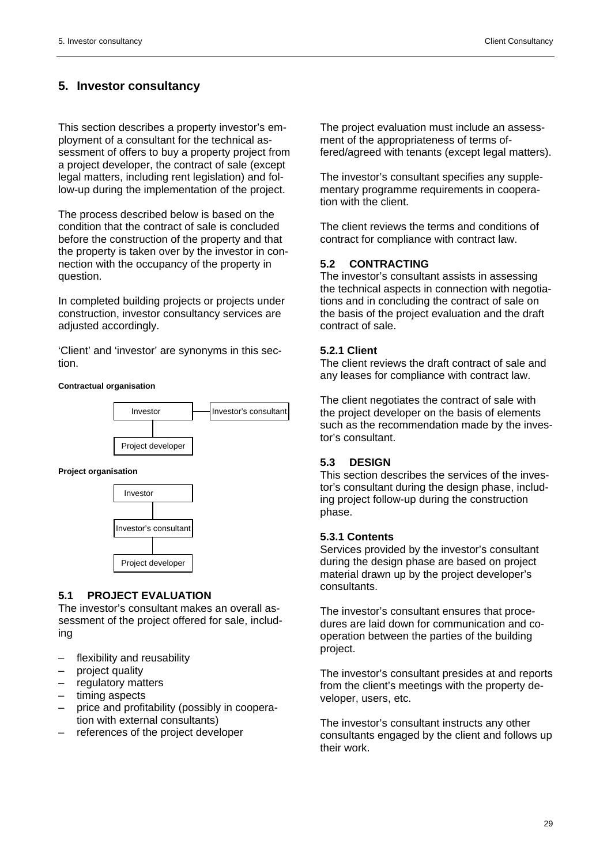# **5. Investor consultancy**

This section describes a property investor's employment of a consultant for the technical assessment of offers to buy a property project from a project developer, the contract of sale (except legal matters, including rent legislation) and follow-up during the implementation of the project.

The process described below is based on the condition that the contract of sale is concluded before the construction of the property and that the property is taken over by the investor in connection with the occupancy of the property in question.

In completed building projects or projects under construction, investor consultancy services are adjusted accordingly.

'Client' and 'investor' are synonyms in this section.

#### **Contractual organisation**



#### **Project organisation**



# **5.1 PROJECT EVALUATION**

The investor's consultant makes an overall assessment of the project offered for sale, including

- flexibility and reusability
- project quality
- regulatory matters
- timing aspects
- price and profitability (possibly in cooperation with external consultants)
- references of the project developer

The project evaluation must include an assessment of the appropriateness of terms offered/agreed with tenants (except legal matters).

The investor's consultant specifies any supplementary programme requirements in cooperation with the client.

The client reviews the terms and conditions of contract for compliance with contract law.

# **5.2 CONTRACTING**

The investor's consultant assists in assessing the technical aspects in connection with negotiations and in concluding the contract of sale on the basis of the project evaluation and the draft contract of sale.

#### **5.2.1 Client**

The client reviews the draft contract of sale and any leases for compliance with contract law.

The client negotiates the contract of sale with the project developer on the basis of elements such as the recommendation made by the investor's consultant.

# **5.3 DESIGN**

This section describes the services of the investor's consultant during the design phase, including project follow-up during the construction phase.

# **5.3.1 Contents**

Services provided by the investor's consultant during the design phase are based on project material drawn up by the project developer's consultants.

The investor's consultant ensures that procedures are laid down for communication and cooperation between the parties of the building project.

The investor's consultant presides at and reports from the client's meetings with the property developer, users, etc.

The investor's consultant instructs any other consultants engaged by the client and follows up their work.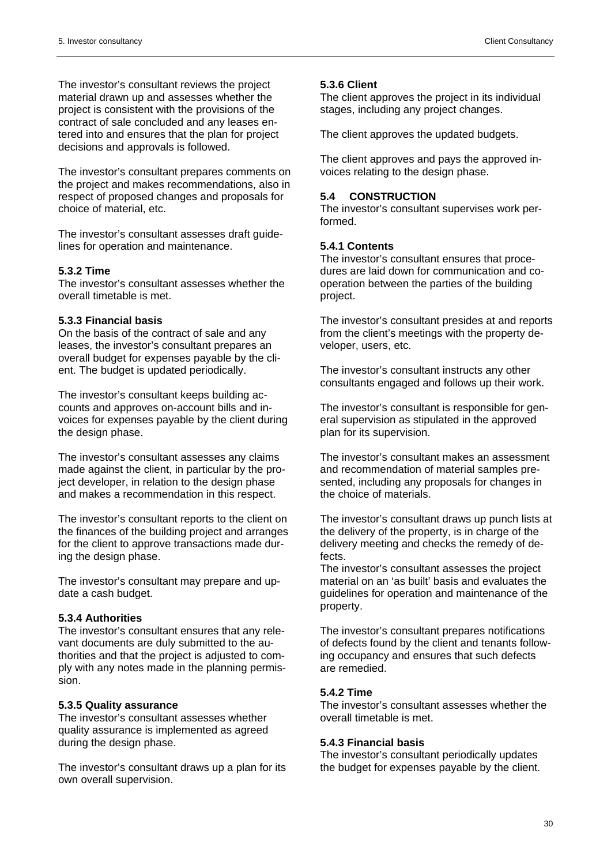The investor's consultant reviews the project material drawn up and assesses whether the project is consistent with the provisions of the contract of sale concluded and any leases entered into and ensures that the plan for project decisions and approvals is followed.

The investor's consultant prepares comments on the project and makes recommendations, also in respect of proposed changes and proposals for choice of material, etc.

The investor's consultant assesses draft guidelines for operation and maintenance.

# **5.3.2 Time**

The investor's consultant assesses whether the overall timetable is met.

# **5.3.3 Financial basis**

On the basis of the contract of sale and any leases, the investor's consultant prepares an overall budget for expenses payable by the client. The budget is updated periodically.

The investor's consultant keeps building accounts and approves on-account bills and invoices for expenses payable by the client during the design phase.

The investor's consultant assesses any claims made against the client, in particular by the project developer, in relation to the design phase and makes a recommendation in this respect.

The investor's consultant reports to the client on the finances of the building project and arranges for the client to approve transactions made during the design phase.

The investor's consultant may prepare and update a cash budget.

# **5.3.4 Authorities**

The investor's consultant ensures that any relevant documents are duly submitted to the authorities and that the project is adjusted to comply with any notes made in the planning permission.

# **5.3.5 Quality assurance**

The investor's consultant assesses whether quality assurance is implemented as agreed during the design phase.

The investor's consultant draws up a plan for its own overall supervision.

# **5.3.6 Client**

The client approves the project in its individual stages, including any project changes.

The client approves the updated budgets.

The client approves and pays the approved invoices relating to the design phase.

# **5.4 CONSTRUCTION**

The investor's consultant supervises work performed.

# **5.4.1 Contents**

The investor's consultant ensures that procedures are laid down for communication and cooperation between the parties of the building project.

The investor's consultant presides at and reports from the client's meetings with the property developer, users, etc.

The investor's consultant instructs any other consultants engaged and follows up their work.

The investor's consultant is responsible for general supervision as stipulated in the approved plan for its supervision.

The investor's consultant makes an assessment and recommendation of material samples presented, including any proposals for changes in the choice of materials.

The investor's consultant draws up punch lists at the delivery of the property, is in charge of the delivery meeting and checks the remedy of defects.

The investor's consultant assesses the project material on an 'as built' basis and evaluates the guidelines for operation and maintenance of the property.

The investor's consultant prepares notifications of defects found by the client and tenants following occupancy and ensures that such defects are remedied.

# **5.4.2 Time**

The investor's consultant assesses whether the overall timetable is met.

# **5.4.3 Financial basis**

The investor's consultant periodically updates the budget for expenses payable by the client.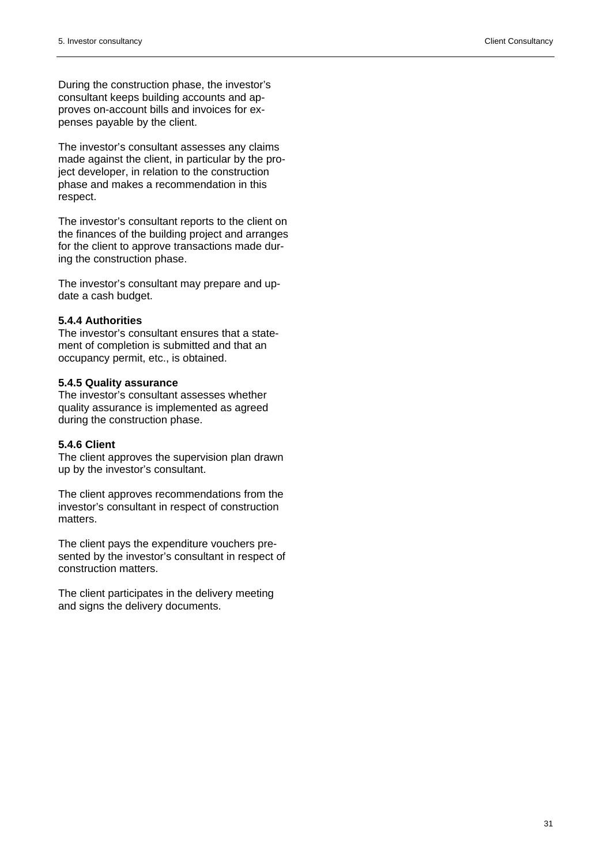During the construction phase, the investor's consultant keeps building accounts and approves on-account bills and invoices for expenses payable by the client.

The investor's consultant assesses any claims made against the client, in particular by the project developer, in relation to the construction phase and makes a recommendation in this respect.

The investor's consultant reports to the client on the finances of the building project and arranges for the client to approve transactions made during the construction phase.

The investor's consultant may prepare and update a cash budget.

#### **5.4.4 Authorities**

The investor's consultant ensures that a statement of completion is submitted and that an occupancy permit, etc., is obtained.

#### **5.4.5 Quality assurance**

The investor's consultant assesses whether quality assurance is implemented as agreed during the construction phase.

#### **5.4.6 Client**

The client approves the supervision plan drawn up by the investor's consultant.

The client approves recommendations from the investor's consultant in respect of construction matters.

The client pays the expenditure vouchers presented by the investor's consultant in respect of construction matters.

The client participates in the delivery meeting and signs the delivery documents.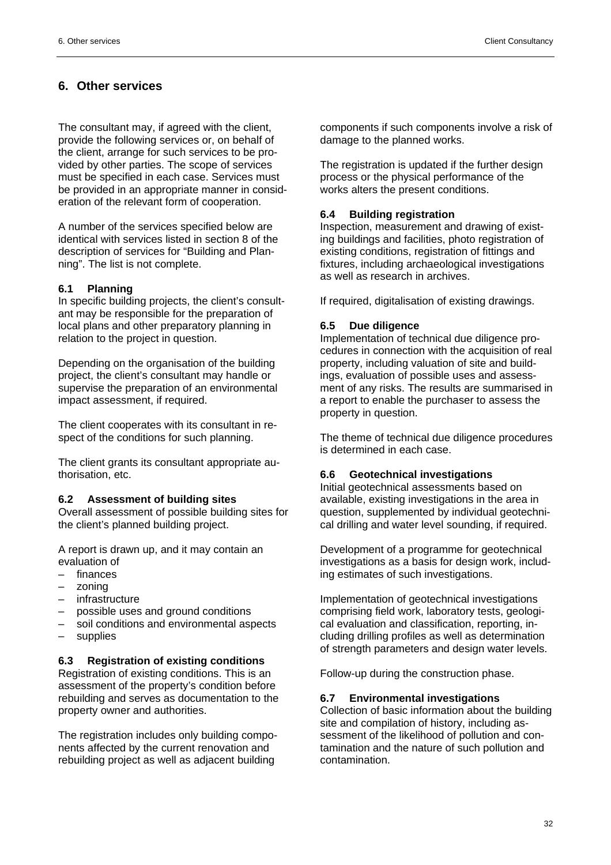# **6. Other services**

The consultant may, if agreed with the client, provide the following services or, on behalf of the client, arrange for such services to be provided by other parties. The scope of services must be specified in each case. Services must be provided in an appropriate manner in consideration of the relevant form of cooperation.

A number of the services specified below are identical with services listed in section 8 of the description of services for "Building and Planning". The list is not complete.

#### **6.1 Planning**

In specific building projects, the client's consultant may be responsible for the preparation of local plans and other preparatory planning in relation to the project in question.

Depending on the organisation of the building project, the client's consultant may handle or supervise the preparation of an environmental impact assessment, if required.

The client cooperates with its consultant in respect of the conditions for such planning.

The client grants its consultant appropriate authorisation, etc.

#### **6.2 Assessment of building sites**

Overall assessment of possible building sites for the client's planned building project.

A report is drawn up, and it may contain an evaluation of

- finances
- zoning
- infrastructure
- possible uses and ground conditions
- soil conditions and environmental aspects
- supplies

#### **6.3 Registration of existing conditions**

Registration of existing conditions. This is an assessment of the property's condition before rebuilding and serves as documentation to the property owner and authorities.

The registration includes only building components affected by the current renovation and rebuilding project as well as adjacent building

components if such components involve a risk of damage to the planned works.

The registration is updated if the further design process or the physical performance of the works alters the present conditions.

#### **6.4 Building registration**

Inspection, measurement and drawing of existing buildings and facilities, photo registration of existing conditions, registration of fittings and fixtures, including archaeological investigations as well as research in archives.

If required, digitalisation of existing drawings.

#### **6.5 Due diligence**

Implementation of technical due diligence procedures in connection with the acquisition of real property, including valuation of site and buildings, evaluation of possible uses and assessment of any risks. The results are summarised in a report to enable the purchaser to assess the property in question.

The theme of technical due diligence procedures is determined in each case.

#### **6.6 Geotechnical investigations**

Initial geotechnical assessments based on available, existing investigations in the area in question, supplemented by individual geotechnical drilling and water level sounding, if required.

Development of a programme for geotechnical investigations as a basis for design work, including estimates of such investigations.

Implementation of geotechnical investigations comprising field work, laboratory tests, geological evaluation and classification, reporting, including drilling profiles as well as determination of strength parameters and design water levels.

Follow-up during the construction phase.

#### **6.7 Environmental investigations**

Collection of basic information about the building site and compilation of history, including assessment of the likelihood of pollution and contamination and the nature of such pollution and contamination.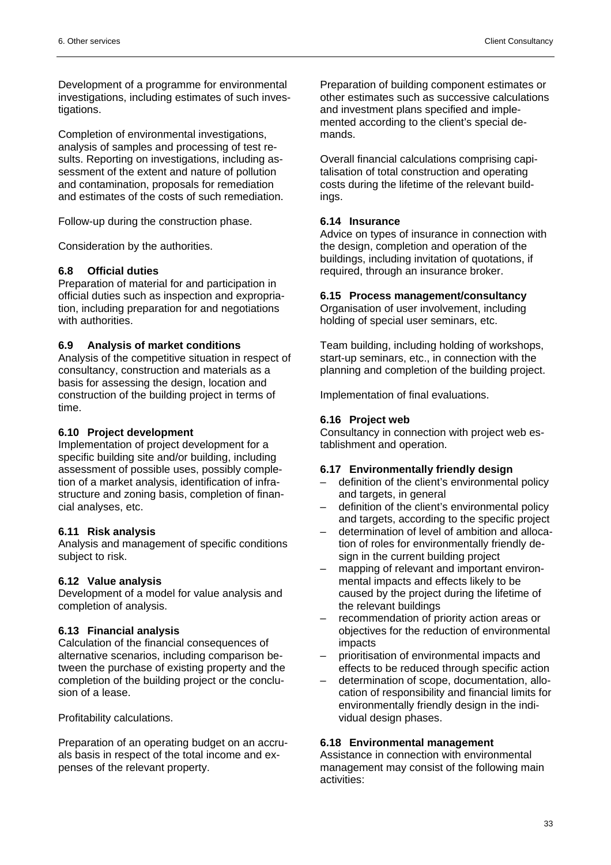Development of a programme for environmental investigations, including estimates of such investigations.

Completion of environmental investigations, analysis of samples and processing of test results. Reporting on investigations, including assessment of the extent and nature of pollution and contamination, proposals for remediation and estimates of the costs of such remediation.

Follow-up during the construction phase.

Consideration by the authorities.

# **6.8 Official duties**

Preparation of material for and participation in official duties such as inspection and expropriation, including preparation for and negotiations with authorities.

# **6.9 Analysis of market conditions**

Analysis of the competitive situation in respect of consultancy, construction and materials as a basis for assessing the design, location and construction of the building project in terms of time.

#### **6.10 Project development**

Implementation of project development for a specific building site and/or building, including assessment of possible uses, possibly completion of a market analysis, identification of infrastructure and zoning basis, completion of financial analyses, etc.

# **6.11 Risk analysis**

Analysis and management of specific conditions subject to risk.

# **6.12 Value analysis**

Development of a model for value analysis and completion of analysis.

# **6.13 Financial analysis**

Calculation of the financial consequences of alternative scenarios, including comparison between the purchase of existing property and the completion of the building project or the conclusion of a lease.

Profitability calculations.

Preparation of an operating budget on an accruals basis in respect of the total income and expenses of the relevant property.

Preparation of building component estimates or other estimates such as successive calculations and investment plans specified and implemented according to the client's special demands.

Overall financial calculations comprising capitalisation of total construction and operating costs during the lifetime of the relevant buildings.

#### **6.14 Insurance**

Advice on types of insurance in connection with the design, completion and operation of the buildings, including invitation of quotations, if required, through an insurance broker.

#### **6.15 Process management/consultancy**

Organisation of user involvement, including holding of special user seminars, etc.

Team building, including holding of workshops, start-up seminars, etc., in connection with the planning and completion of the building project.

Implementation of final evaluations.

#### **6.16 Project web**

Consultancy in connection with project web establishment and operation.

#### **6.17 Environmentally friendly design**

- definition of the client's environmental policy and targets, in general
- definition of the client's environmental policy and targets, according to the specific project
- determination of level of ambition and allocation of roles for environmentally friendly design in the current building project
- mapping of relevant and important environmental impacts and effects likely to be caused by the project during the lifetime of the relevant buildings
- recommendation of priority action areas or objectives for the reduction of environmental impacts
- prioritisation of environmental impacts and effects to be reduced through specific action
- determination of scope, documentation, allocation of responsibility and financial limits for environmentally friendly design in the individual design phases.

#### **6.18 Environmental management**

Assistance in connection with environmental management may consist of the following main activities: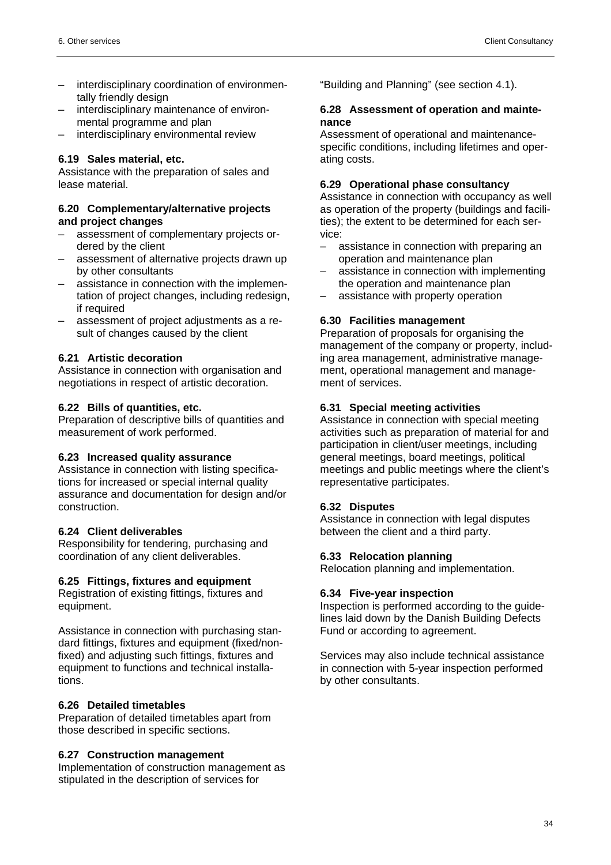- interdisciplinary coordination of environmentally friendly design
- interdisciplinary maintenance of environmental programme and plan
- interdisciplinary environmental review

# **6.19 Sales material, etc.**

Assistance with the preparation of sales and lease material.

#### **6.20 Complementary/alternative projects and project changes**

- assessment of complementary projects ordered by the client
- assessment of alternative projects drawn up by other consultants
- assistance in connection with the implementation of project changes, including redesign, if required
- assessment of project adjustments as a result of changes caused by the client

# **6.21 Artistic decoration**

Assistance in connection with organisation and negotiations in respect of artistic decoration.

#### **6.22 Bills of quantities, etc.**

Preparation of descriptive bills of quantities and measurement of work performed.

# **6.23 Increased quality assurance**

Assistance in connection with listing specifications for increased or special internal quality assurance and documentation for design and/or construction.

# **6.24 Client deliverables**

Responsibility for tendering, purchasing and coordination of any client deliverables.

# **6.25 Fittings, fixtures and equipment**

Registration of existing fittings, fixtures and equipment.

Assistance in connection with purchasing standard fittings, fixtures and equipment (fixed/nonfixed) and adjusting such fittings, fixtures and equipment to functions and technical installations.

# **6.26 Detailed timetables**

Preparation of detailed timetables apart from those described in specific sections.

#### **6.27 Construction management**

Implementation of construction management as stipulated in the description of services for

"Building and Planning" (see section 4.1).

#### **6.28 Assessment of operation and maintenance**

Assessment of operational and maintenancespecific conditions, including lifetimes and operating costs.

#### **6.29 Operational phase consultancy**

Assistance in connection with occupancy as well as operation of the property (buildings and facilities); the extent to be determined for each service:

- assistance in connection with preparing an operation and maintenance plan
- assistance in connection with implementing the operation and maintenance plan
- assistance with property operation

# **6.30 Facilities management**

Preparation of proposals for organising the management of the company or property, including area management, administrative management, operational management and management of services.

# **6.31 Special meeting activities**

Assistance in connection with special meeting activities such as preparation of material for and participation in client/user meetings, including general meetings, board meetings, political meetings and public meetings where the client's representative participates.

# **6.32 Disputes**

Assistance in connection with legal disputes between the client and a third party.

# **6.33 Relocation planning**

Relocation planning and implementation.

#### **6.34 Five-year inspection**

Inspection is performed according to the guidelines laid down by the Danish Building Defects Fund or according to agreement.

Services may also include technical assistance in connection with 5-year inspection performed by other consultants.